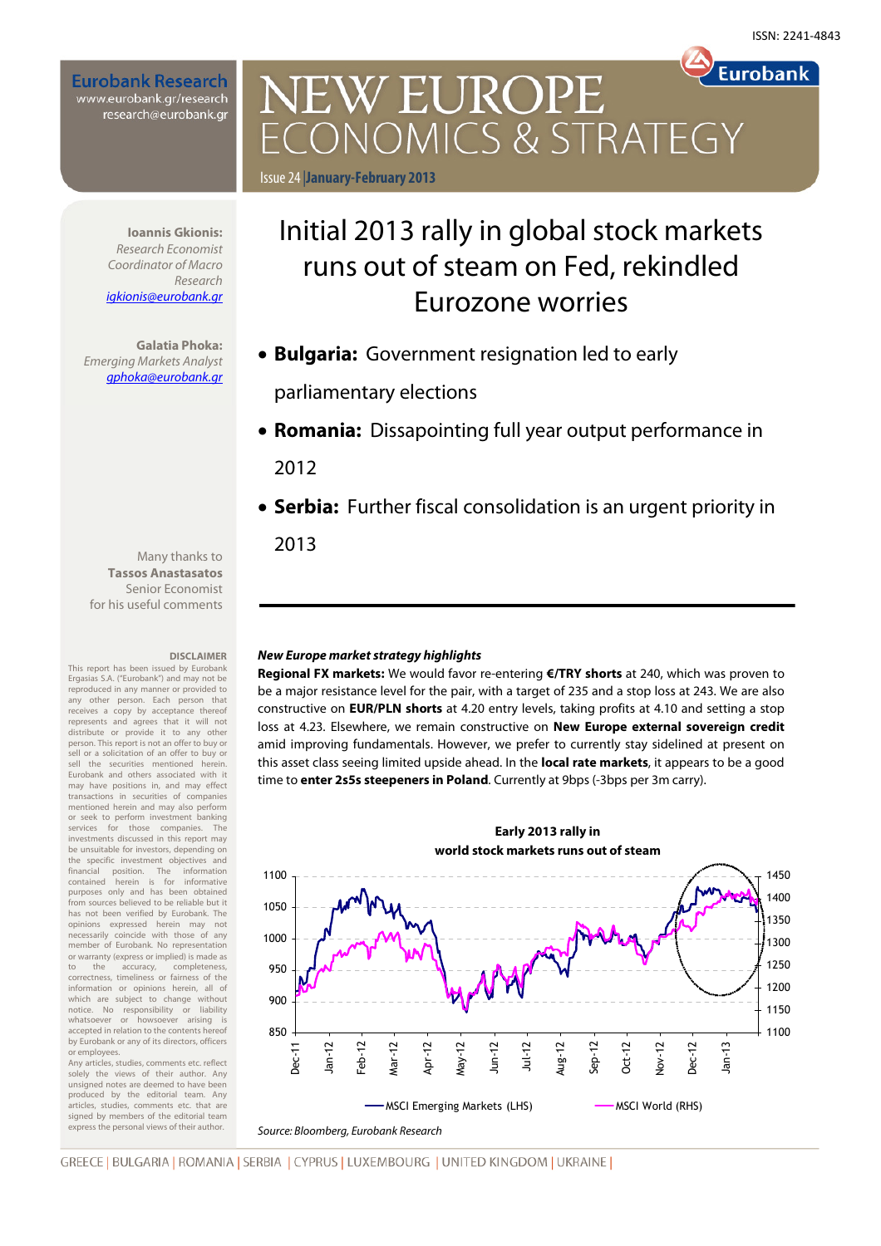**Eurobank** 

**Eurobank Research** www.eurobank.gr/research research@eurobank.gr

> Initial 2013 rally in global stock markets runs out of steam on Fed, rekindled Eurozone worries Issue 24 |**January-February 2013**

CONOMICS & STRATEGY

• **Bulgaria:** Government resignation led to early

**NEW EUROPE** 

parliamentary elections

• **Romania:** Dissapointing full year output performance in

2012

• **Serbia:** Further fiscal consolidation is an urgent priority in

2013

### **New Europe market strategy highlights**

**Regional FX markets:** We would favor re-entering **€/TRY shorts** at 240, which was proven to be a major resistance level for the pair, with a target of 235 and a stop loss at 243. We are also constructive on **EUR/PLN shorts** at 4.20 entry levels, taking profits at 4.10 and setting a stop loss at 4.23. Elsewhere, we remain constructive on **New Europe external sovereign credit**  amid improving fundamentals. However, we prefer to currently stay sidelined at present on this asset class seeing limited upside ahead. In the **local rate markets**, it appears to be a good time to **enter 2s5s steepeners in Poland**. Currently at 9bps (-3bps per 3m carry).



Research igkionis@eurobank.gr

**Ioannis Gkionis:**  Research Economist Coordinator of Macro

**Galatia Phoka:**  Emerging Markets Analyst gphoka@eurobank.gr

Many thanks to **Tassos Anastasatos**  Senior Economist for his useful comments

#### **DISCLAIMER**

This report has been issued by Eurobank Ergasias S.A. ("Eurobank") and may not be reproduced in any manner or provided to any other person. Each person that receives a copy by acceptance thereof represents and agrees that it will not distribute or provide it to any other person. This report is not an offer to buy or sell or a solicitation of an offer to buy or sell the securities mentioned herein. Eurobank and others associated with it may have positions in, and may effect transactions in securities of companies mentioned herein and may also perform or seek to perform investment banking services for those companies. The investments discussed in this report may be unsuitable for investors, depending on the specific investment objectives and financial position. The information contained herein is for informative purposes only and has been obtained from sources believed to be reliable but it has not been verified by Eurobank. The opinions expressed herein may not necessarily coincide with those of any member of Eurobank. No representation or warranty (express or implied) is made as<br>to the accuracy, completeness, completeness, correctness, timeliness or fairness of the information or opinions herein, all of which are subject to change without notice. No responsibility or liability whatsoever or howsoever arising is accepted in relation to the contents hereof by Eurobank or any of its directors, officers or employees.

Any articles, studies, comments etc. reflect solely the views of their author. Any unsigned notes are deemed to have been produced by the editorial team. Any articles, studies, comments etc. that are signed by members of the editorial team express the personal views of their author.

GREECE | BULGARIA | ROMANIA | SERBIA | CYPRUS | LUXEMBOURG | UNITED KINGDOM | UKRAINE |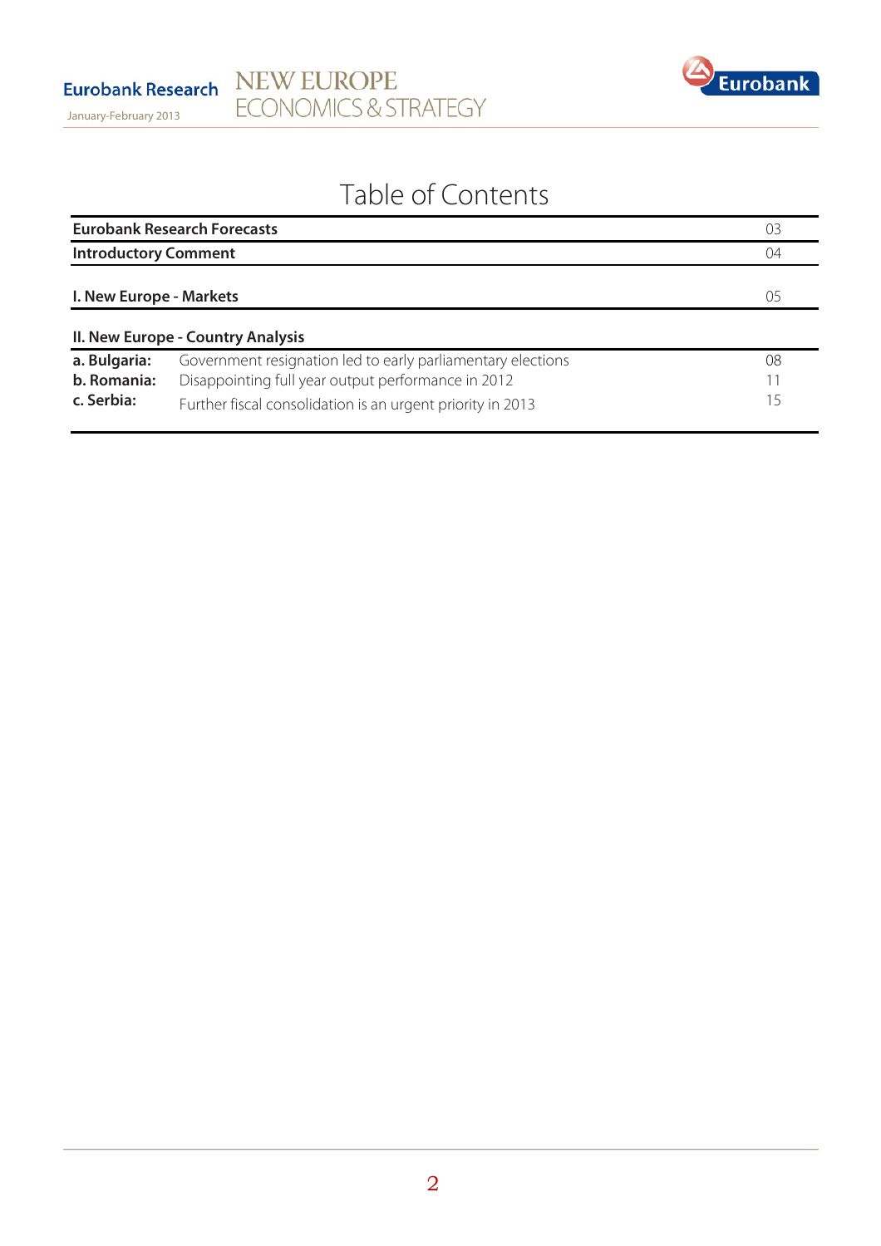

# Table of Contents

|                                           | <b>Eurobank Research Forecasts</b>                                                                                                                                              | 03             |
|-------------------------------------------|---------------------------------------------------------------------------------------------------------------------------------------------------------------------------------|----------------|
| <b>Introductory Comment</b>               |                                                                                                                                                                                 | 04             |
| I. New Europe - Markets                   |                                                                                                                                                                                 | 05             |
|                                           | II. New Europe - Country Analysis                                                                                                                                               |                |
| a. Bulgaria:<br>b. Romania:<br>c. Serbia: | Government resignation led to early parliamentary elections<br>Disappointing full year output performance in 2012<br>Further fiscal consolidation is an urgent priority in 2013 | 08<br>11<br>15 |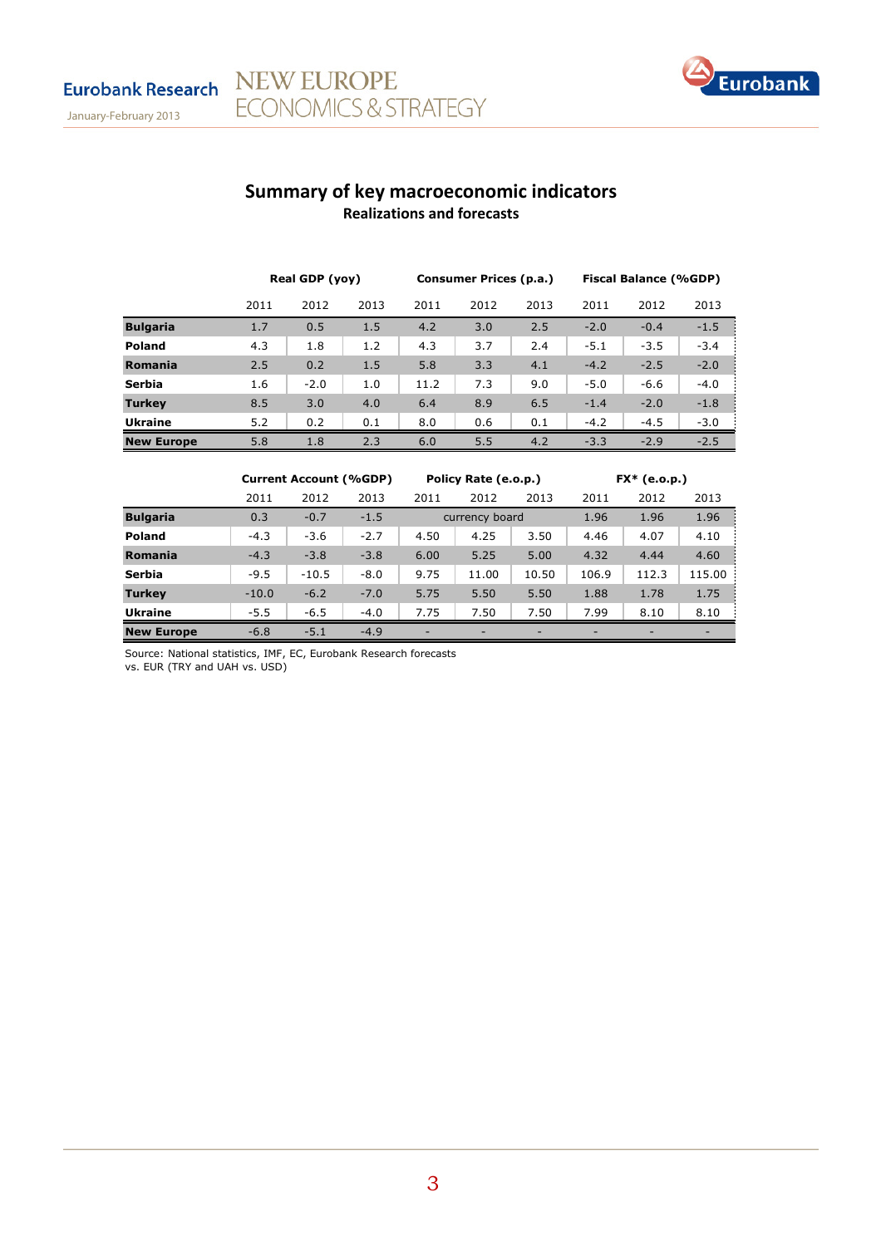

# Summary of key macroeconomic indicators Realizations and forecasts

|                   | Real GDP (yoy) |        | Consumer Prices (p.a.) |      |      | <b>Fiscal Balance (%GDP)</b> |        |        |        |
|-------------------|----------------|--------|------------------------|------|------|------------------------------|--------|--------|--------|
|                   | 2011           | 2012   | 2013                   | 2011 | 2012 | 2013                         | 2011   | 2012   | 2013   |
| <b>Bulgaria</b>   | 1.7            | 0.5    | 1.5                    | 4.2  | 3.0  | 2.5                          | $-2.0$ | $-0.4$ | $-1.5$ |
| <b>Poland</b>     | 4.3            | 1.8    | 1.2                    | 4.3  | 3.7  | 2.4                          | $-5.1$ | $-3.5$ | $-3.4$ |
| Romania           | 2.5            | 0.2    | 1.5                    | 5.8  | 3.3  | 4.1                          | $-4.2$ | $-2.5$ | $-2.0$ |
| Serbia            | 1.6            | $-2.0$ | 1.0                    | 11.2 | 7.3  | 9.0                          | $-5.0$ | $-6.6$ | $-4.0$ |
| <b>Turkey</b>     | 8.5            | 3.0    | 4.0                    | 6.4  | 8.9  | 6.5                          | $-1.4$ | $-2.0$ | $-1.8$ |
| <b>Ukraine</b>    | 5.2            | 0.2    | 0.1                    | 8.0  | 0.6  | 0.1                          | $-4.2$ | $-4.5$ | $-3.0$ |
| <b>New Europe</b> | 5.8            | 1.8    | 2.3                    | 6.0  | 5.5  | 4.2                          | $-3.3$ | $-2.9$ | $-2.5$ |

|                   | <b>Current Account (%GDP)</b> |         | Policy Rate (e.o.p.) |      |                | $FX*$ (e.o.p.) |       |       |        |
|-------------------|-------------------------------|---------|----------------------|------|----------------|----------------|-------|-------|--------|
|                   | 2011                          | 2012    | 2013                 | 2011 | 2012           | 2013           | 2011  | 2012  | 2013   |
| <b>Bulgaria</b>   | 0.3                           | $-0.7$  | $-1.5$               |      | currency board |                | 1.96  | 1.96  | 1.96   |
| <b>Poland</b>     | $-4.3$                        | $-3.6$  | $-2.7$               | 4.50 | 4.25           | 3.50           | 4.46  | 4.07  | 4.10   |
| Romania           | $-4.3$                        | $-3.8$  | $-3.8$               | 6.00 | 5.25           | 5.00           | 4.32  | 4.44  | 4.60   |
| Serbia            | $-9.5$                        | $-10.5$ | $-8.0$               | 9.75 | 11.00          | 10.50          | 106.9 | 112.3 | 115.00 |
| <b>Turkey</b>     | $-10.0$                       | $-6.2$  | $-7.0$               | 5.75 | 5.50           | 5.50           | 1.88  | 1.78  | 1.75   |
| <b>Ukraine</b>    | $-5.5$                        | $-6.5$  | $-4.0$               | 7.75 | 7.50           | 7.50           | 7.99  | 8.10  | 8.10   |
| <b>New Europe</b> | $-6.8$                        | $-5.1$  | $-4.9$               | -    |                | -              | -     | -     |        |

Source: National statistics, IMF, EC, Eurobank Research forecasts

NEW EUROPE

**ECONOMICS & STRATEGY** 

vs. EUR (TRY and UAH vs. USD)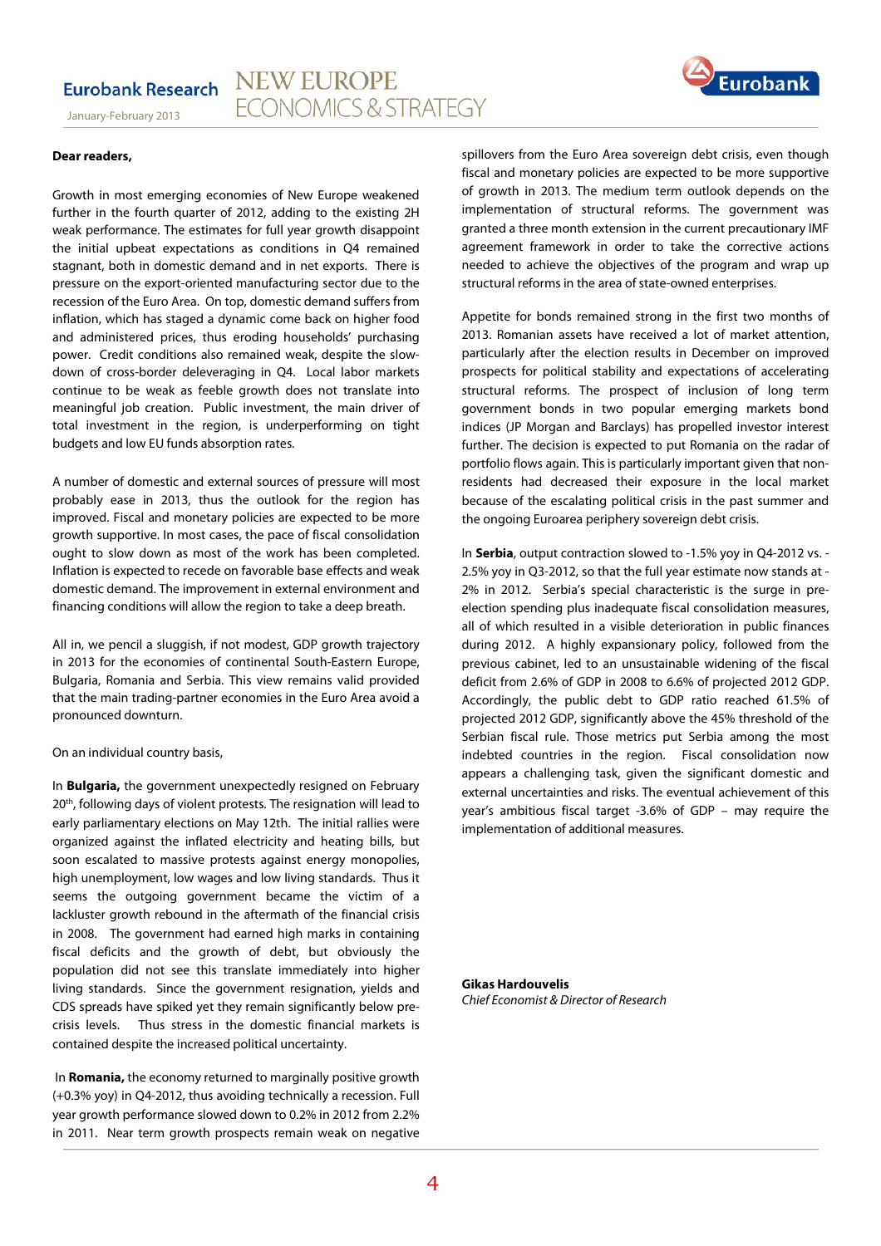

January-February 2013

#### **Dear readers,**

Growth in most emerging economies of New Europe weakened further in the fourth quarter of 2012, adding to the existing 2H weak performance. The estimates for full year growth disappoint the initial upbeat expectations as conditions in Q4 remained stagnant, both in domestic demand and in net exports. There is pressure on the export-oriented manufacturing sector due to the recession of the Euro Area. On top, domestic demand suffers from inflation, which has staged a dynamic come back on higher food and administered prices, thus eroding households' purchasing power. Credit conditions also remained weak, despite the slowdown of cross-border deleveraging in Q4. Local labor markets continue to be weak as feeble growth does not translate into meaningful job creation. Public investment, the main driver of total investment in the region, is underperforming on tight budgets and low EU funds absorption rates.

A number of domestic and external sources of pressure will most probably ease in 2013, thus the outlook for the region has improved. Fiscal and monetary policies are expected to be more growth supportive. In most cases, the pace of fiscal consolidation ought to slow down as most of the work has been completed. Inflation is expected to recede on favorable base effects and weak domestic demand. The improvement in external environment and financing conditions will allow the region to take a deep breath.

All in, we pencil a sluggish, if not modest, GDP growth trajectory in 2013 for the economies of continental South-Eastern Europe, Bulgaria, Romania and Serbia. This view remains valid provided that the main trading-partner economies in the Euro Area avoid a pronounced downturn.

#### On an individual country basis,

In **Bulgaria,** the government unexpectedly resigned on February 20<sup>th</sup>, following days of violent protests. The resignation will lead to early parliamentary elections on May 12th. The initial rallies were organized against the inflated electricity and heating bills, but soon escalated to massive protests against energy monopolies, high unemployment, low wages and low living standards. Thus it seems the outgoing government became the victim of a lackluster growth rebound in the aftermath of the financial crisis in 2008. The government had earned high marks in containing fiscal deficits and the growth of debt, but obviously the population did not see this translate immediately into higher living standards. Since the government resignation, yields and CDS spreads have spiked yet they remain significantly below precrisis levels. Thus stress in the domestic financial markets is contained despite the increased political uncertainty.

 In **Romania,** the economy returned to marginally positive growth (+0.3% yoy) in Q4-2012, thus avoiding technically a recession. Full year growth performance slowed down to 0.2% in 2012 from 2.2% in 2011. Near term growth prospects remain weak on negative

spillovers from the Euro Area sovereign debt crisis, even though fiscal and monetary policies are expected to be more supportive of growth in 2013. The medium term outlook depends on the implementation of structural reforms. The government was granted a three month extension in the current precautionary IMF agreement framework in order to take the corrective actions needed to achieve the objectives of the program and wrap up structural reforms in the area of state-owned enterprises.

Appetite for bonds remained strong in the first two months of 2013. Romanian assets have received a lot of market attention, particularly after the election results in December on improved prospects for political stability and expectations of accelerating structural reforms. The prospect of inclusion of long term government bonds in two popular emerging markets bond indices (JP Morgan and Barclays) has propelled investor interest further. The decision is expected to put Romania on the radar of portfolio flows again. This is particularly important given that nonresidents had decreased their exposure in the local market because of the escalating political crisis in the past summer and the ongoing Euroarea periphery sovereign debt crisis.

In **Serbia**, output contraction slowed to -1.5% yoy in Q4-2012 vs. - 2.5% yoy in Q3-2012, so that the full year estimate now stands at - 2% in 2012. Serbia's special characteristic is the surge in preelection spending plus inadequate fiscal consolidation measures, all of which resulted in a visible deterioration in public finances during 2012. A highly expansionary policy, followed from the previous cabinet, led to an unsustainable widening of the fiscal deficit from 2.6% of GDP in 2008 to 6.6% of projected 2012 GDP. Accordingly, the public debt to GDP ratio reached 61.5% of projected 2012 GDP, significantly above the 45% threshold of the Serbian fiscal rule. Those metrics put Serbia among the most indebted countries in the region. Fiscal consolidation now appears a challenging task, given the significant domestic and external uncertainties and risks. The eventual achievement of this year's ambitious fiscal target -3.6% of GDP – may require the implementation of additional measures.

**Gikas Hardouvelis**  Chief Economist & Director of Research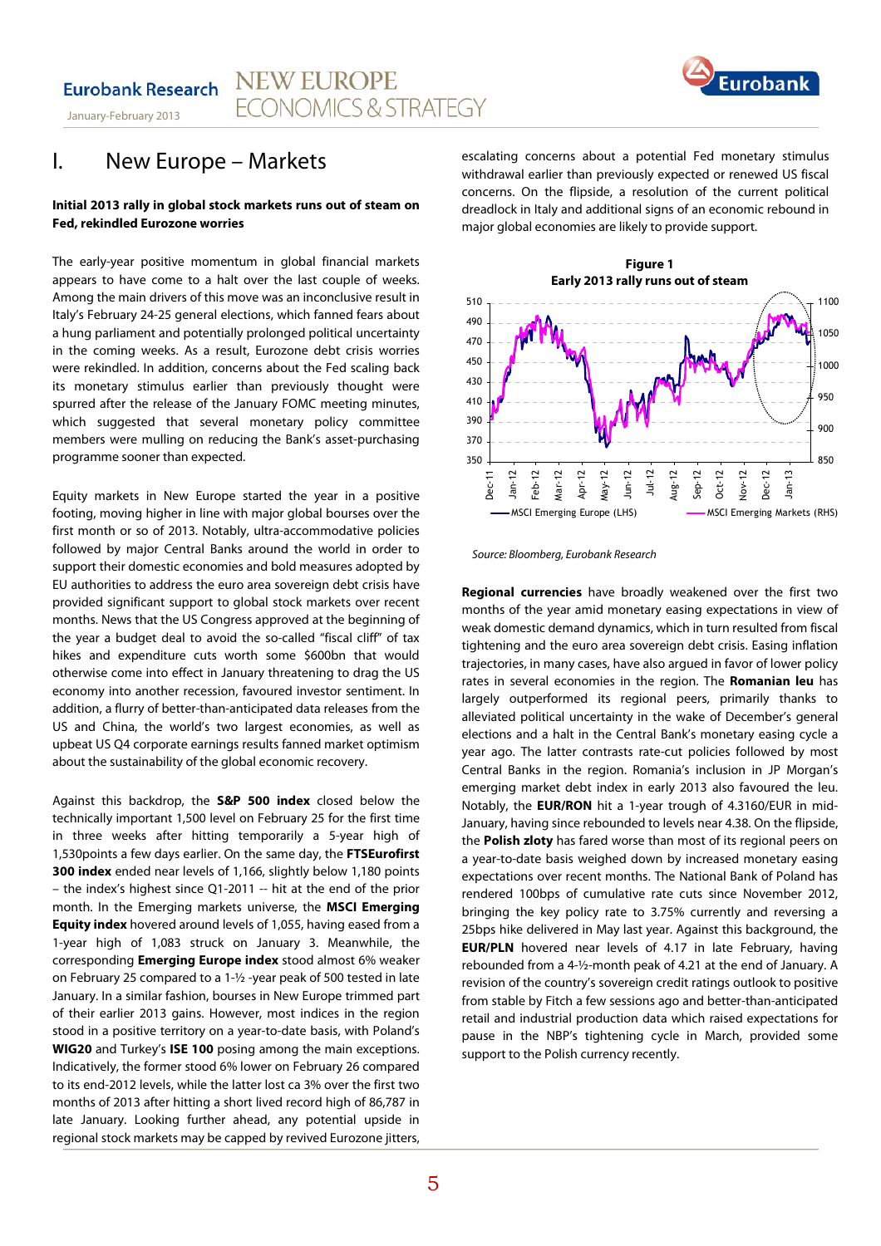

# I. New Europe – Markets

#### **Initial 2013 rally in global stock markets runs out of steam on Fed, rekindled Eurozone worries**

The early-year positive momentum in global financial markets appears to have come to a halt over the last couple of weeks. Among the main drivers of this move was an inconclusive result in Italy's February 24-25 general elections, which fanned fears about a hung parliament and potentially prolonged political uncertainty in the coming weeks. As a result, Eurozone debt crisis worries were rekindled. In addition, concerns about the Fed scaling back its monetary stimulus earlier than previously thought were spurred after the release of the January FOMC meeting minutes, which suggested that several monetary policy committee members were mulling on reducing the Bank's asset-purchasing programme sooner than expected.

Equity markets in New Europe started the year in a positive footing, moving higher in line with major global bourses over the first month or so of 2013. Notably, ultra-accommodative policies followed by major Central Banks around the world in order to support their domestic economies and bold measures adopted by EU authorities to address the euro area sovereign debt crisis have provided significant support to global stock markets over recent months. News that the US Congress approved at the beginning of the year a budget deal to avoid the so-called "fiscal cliff" of tax hikes and expenditure cuts worth some \$600bn that would otherwise come into effect in January threatening to drag the US economy into another recession, favoured investor sentiment. In addition, a flurry of better-than-anticipated data releases from the US and China, the world's two largest economies, as well as upbeat US Q4 corporate earnings results fanned market optimism about the sustainability of the global economic recovery.

Against this backdrop, the **S&P 500 index** closed below the technically important 1,500 level on February 25 for the first time in three weeks after hitting temporarily a 5-year high of 1,530points a few days earlier. On the same day, the **FTSEurofirst 300 index** ended near levels of 1,166, slightly below 1,180 points – the index's highest since Q1-2011 -- hit at the end of the prior month. In the Emerging markets universe, the **MSCI Emerging Equity index** hovered around levels of 1,055, having eased from a 1-year high of 1,083 struck on January 3. Meanwhile, the corresponding **Emerging Europe index** stood almost 6% weaker on February 25 compared to a 1-½ -year peak of 500 tested in late January. In a similar fashion, bourses in New Europe trimmed part of their earlier 2013 gains. However, most indices in the region stood in a positive territory on a year-to-date basis, with Poland's **WIG20** and Turkey's **ISE 100** posing among the main exceptions. Indicatively, the former stood 6% lower on February 26 compared to its end-2012 levels, while the latter lost ca 3% over the first two months of 2013 after hitting a short lived record high of 86,787 in late January. Looking further ahead, any potential upside in regional stock markets may be capped by revived Eurozone jitters,

escalating concerns about a potential Fed monetary stimulus withdrawal earlier than previously expected or renewed US fiscal concerns. On the flipside, a resolution of the current political dreadlock in Italy and additional signs of an economic rebound in major global economies are likely to provide support.



Source: Bloomberg, Eurobank Research

**Regional currencies** have broadly weakened over the first two months of the year amid monetary easing expectations in view of weak domestic demand dynamics, which in turn resulted from fiscal tightening and the euro area sovereign debt crisis. Easing inflation trajectories, in many cases, have also argued in favor of lower policy rates in several economies in the region. The **Romanian leu** has largely outperformed its regional peers, primarily thanks to alleviated political uncertainty in the wake of December's general elections and a halt in the Central Bank's monetary easing cycle a year ago. The latter contrasts rate-cut policies followed by most Central Banks in the region. Romania's inclusion in JP Morgan's emerging market debt index in early 2013 also favoured the leu. Notably, the **EUR/RON** hit a 1-year trough of 4.3160/EUR in mid-January, having since rebounded to levels near 4.38. On the flipside, the **Polish zloty** has fared worse than most of its regional peers on a year-to-date basis weighed down by increased monetary easing expectations over recent months. The National Bank of Poland has rendered 100bps of cumulative rate cuts since November 2012, bringing the key policy rate to 3.75% currently and reversing a 25bps hike delivered in May last year. Against this background, the **EUR/PLN** hovered near levels of 4.17 in late February, having rebounded from a 4-½-month peak of 4.21 at the end of January. A revision of the country's sovereign credit ratings outlook to positive from stable by Fitch a few sessions ago and better-than-anticipated retail and industrial production data which raised expectations for pause in the NBP's tightening cycle in March, provided some support to the Polish currency recently.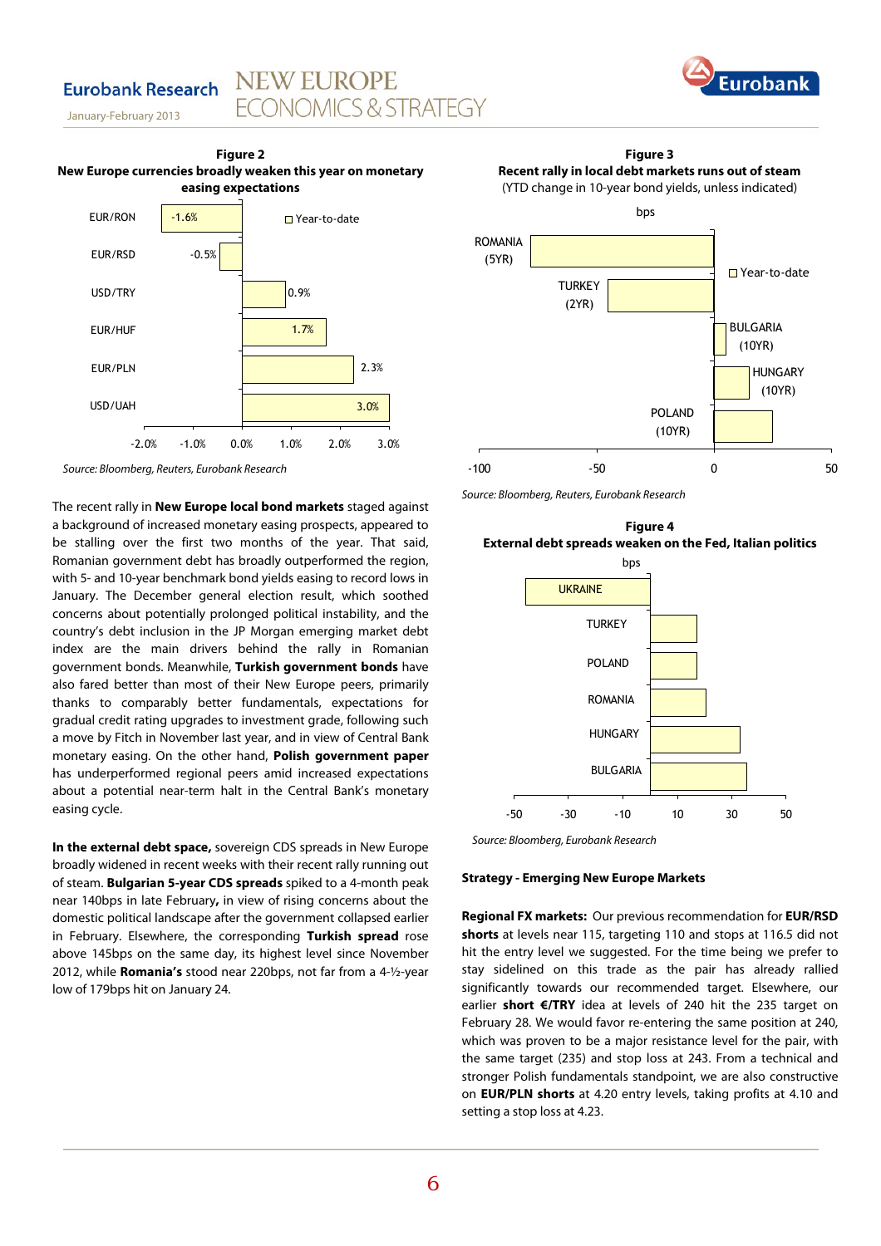## **Eurobank Research**

January-February 2013





**NEW EUROPE** 

**FCONOMICS & STRATEGY** 

Source: Bloomberg, Reuters, Eurobank Research

The recent rally in **New Europe local bond markets** staged against a background of increased monetary easing prospects, appeared to be stalling over the first two months of the year. That said, Romanian government debt has broadly outperformed the region, with 5- and 10-year benchmark bond yields easing to record lows in January. The December general election result, which soothed concerns about potentially prolonged political instability, and the country's debt inclusion in the JP Morgan emerging market debt index are the main drivers behind the rally in Romanian government bonds. Meanwhile, **Turkish government bonds** have also fared better than most of their New Europe peers, primarily thanks to comparably better fundamentals, expectations for gradual credit rating upgrades to investment grade, following such a move by Fitch in November last year, and in view of Central Bank monetary easing. On the other hand, **Polish government paper**  has underperformed regional peers amid increased expectations about a potential near-term halt in the Central Bank's monetary easing cycle.

**In the external debt space,** sovereign CDS spreads in New Europe broadly widened in recent weeks with their recent rally running out of steam. **Bulgarian 5-year CDS spreads** spiked to a 4-month peak near 140bps in late February**,** in view of rising concerns about the domestic political landscape after the government collapsed earlier in February. Elsewhere, the corresponding **Turkish spread** rose above 145bps on the same day, its highest level since November 2012, while **Romania's** stood near 220bps, not far from a 4-½-year low of 179bps hit on January 24.

**Figure 3 Recent rally in local debt markets runs out of steam**  (YTD change in 10-year bond yields, unless indicated)



Source: Bloomberg, Reuters, Eurobank Research





Source: Bloomberg, Eurobank Research

#### **Strategy - Emerging New Europe Markets**

**Regional FX markets:** Our previous recommendation for **EUR/RSD shorts** at levels near 115, targeting 110 and stops at 116.5 did not hit the entry level we suggested. For the time being we prefer to stay sidelined on this trade as the pair has already rallied significantly towards our recommended target. Elsewhere, our earlier **short €/TRY** idea at levels of 240 hit the 235 target on February 28. We would favor re-entering the same position at 240, which was proven to be a major resistance level for the pair, with the same target (235) and stop loss at 243. From a technical and stronger Polish fundamentals standpoint, we are also constructive on **EUR/PLN shorts** at 4.20 entry levels, taking profits at 4.10 and setting a stop loss at 4.23.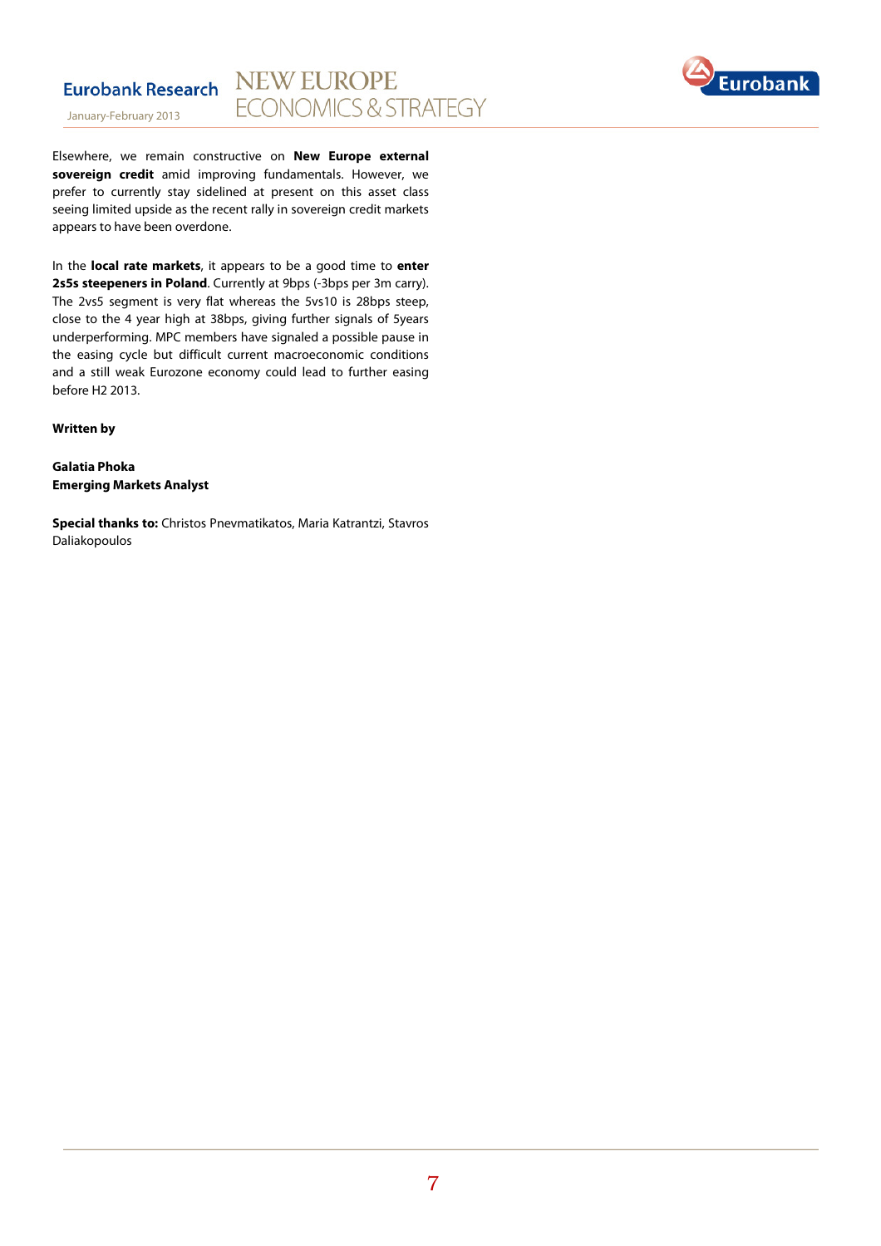

Elsewhere, we remain constructive on **New Europe external sovereign credit** amid improving fundamentals. However, we prefer to currently stay sidelined at present on this asset class seeing limited upside as the recent rally in sovereign credit markets appears to have been overdone.

In the **local rate markets**, it appears to be a good time to **enter**  2s5s steepeners in Poland. Currently at 9bps (-3bps per 3m carry). The 2vs5 segment is very flat whereas the 5vs10 is 28bps steep, close to the 4 year high at 38bps, giving further signals of 5years underperforming. MPC members have signaled a possible pause in the easing cycle but difficult current macroeconomic conditions and a still weak Eurozone economy could lead to further easing before H2 2013.

**Written by** 

**Galatia Phoka Emerging Markets Analyst**

**Special thanks to:** Christos Pnevmatikatos, Maria Katrantzi, Stavros Daliakopoulos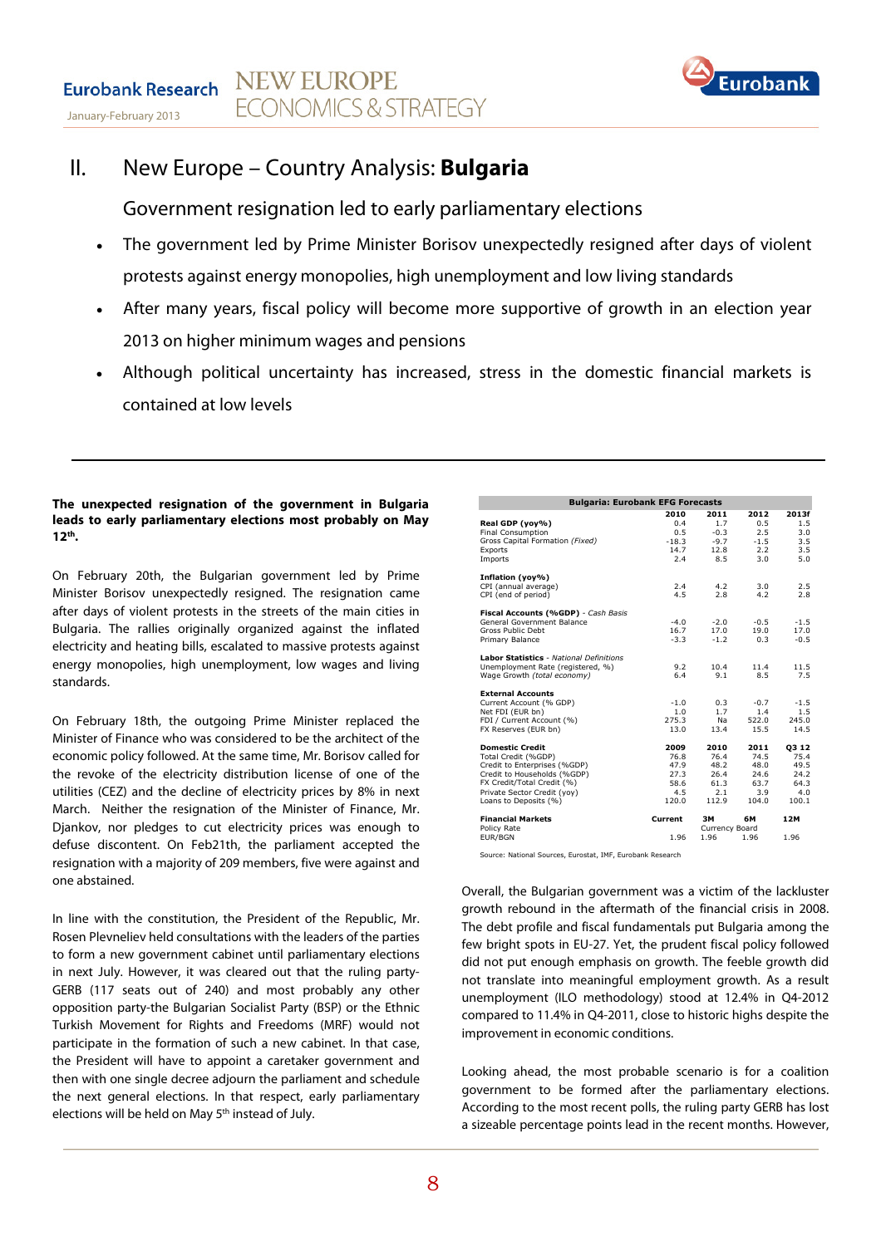

# II. New Europe – Country Analysis: **Bulgaria**

Government resignation led to early parliamentary elections

- The government led by Prime Minister Borisov unexpectedly resigned after days of violent protests against energy monopolies, high unemployment and low living standards
- After many years, fiscal policy will become more supportive of growth in an election year 2013 on higher minimum wages and pensions
- Although political uncertainty has increased, stress in the domestic financial markets is contained at low levels

### **The unexpected resignation of the government in Bulgaria leads to early parliamentary elections most probably on May 12th .**

On February 20th, the Bulgarian government led by Prime Minister Borisov unexpectedly resigned. The resignation came after days of violent protests in the streets of the main cities in Bulgaria. The rallies originally organized against the inflated electricity and heating bills, escalated to massive protests against energy monopolies, high unemployment, low wages and living standards.

On February 18th, the outgoing Prime Minister replaced the Minister of Finance who was considered to be the architect of the economic policy followed. At the same time, Mr. Borisov called for the revoke of the electricity distribution license of one of the utilities (CEZ) and the decline of electricity prices by 8% in next March. Neither the resignation of the Minister of Finance, Mr. Djankov, nor pledges to cut electricity prices was enough to defuse discontent. On Feb21th, the parliament accepted the resignation with a majority of 209 members, five were against and one abstained.

In line with the constitution, the President of the Republic, Mr. Rosen Plevneliev held consultations with the leaders of the parties to form a new government cabinet until parliamentary elections in next July. However, it was cleared out that the ruling party-GERB (117 seats out of 240) and most probably any other opposition party-the Bulgarian Socialist Party (BSP) or the Ethnic Turkish Movement for Rights and Freedoms (MRF) would not participate in the formation of such a new cabinet. In that case, the President will have to appoint a caretaker government and then with one single decree adjourn the parliament and schedule the next general elections. In that respect, early parliamentary elections will be held on May 5<sup>th</sup> instead of July.

| <b>Bulgaria: Eurobank EFG Forecasts</b>                                |                        |                          |                      |                   |  |  |
|------------------------------------------------------------------------|------------------------|--------------------------|----------------------|-------------------|--|--|
| Real GDP (yoy%)                                                        | 2010<br>0.4            | 2011<br>1.7              | 2012<br>0.5          | 2013f<br>1.5      |  |  |
| <b>Final Consumption</b><br>Gross Capital Formation (Fixed)<br>Exports | 0.5<br>$-18.3$<br>14.7 | $-0.3$<br>$-9.7$<br>12.8 | 2.5<br>$-1.5$<br>2.2 | 3.0<br>3.5<br>3.5 |  |  |
| Imports                                                                | 2.4                    | 8.5                      | 3.0                  | 5.0               |  |  |
| Inflation (yoy%)                                                       |                        |                          |                      |                   |  |  |
| CPI (annual average)<br>CPI (end of period)                            | 2.4<br>4.5             | 4.2<br>2.8               | 3.0<br>4.2           | 2.5<br>2.8        |  |  |
| Fiscal Accounts (%GDP) - Cash Basis                                    |                        |                          |                      |                   |  |  |
| General Government Balance<br>Gross Public Debt                        | $-4.0$<br>16.7         | $-2.0$<br>17.0           | $-0.5$<br>19.0       | $-1.5$<br>17.0    |  |  |
| Primary Balance                                                        | $-3.3$                 | $-1.2$                   | 0.3                  | $-0.5$            |  |  |
| <b>Labor Statistics - National Definitions</b>                         |                        |                          |                      |                   |  |  |
| Unemployment Rate (registered, %)<br>Wage Growth (total economy)       | 9.2<br>6.4             | 10.4<br>9.1              | 11.4<br>8.5          | 11.5<br>7.5       |  |  |
| <b>External Accounts</b>                                               |                        |                          |                      |                   |  |  |
| Current Account (% GDP)<br>Net FDI (EUR bn)                            | $-1.0$<br>1.0          | 0.3<br>1.7               | $-0.7$<br>1.4        | $-1.5$<br>1.5     |  |  |
| FDI / Current Account (%)                                              | 275.3                  | Na                       | 522.0                | 245.0             |  |  |
| FX Reserves (EUR bn)                                                   | 13.0                   | 13.4                     | 15.5                 | 14.5              |  |  |
| <b>Domestic Credit</b>                                                 | 2009                   | 2010                     | 2011                 | <b>Q312</b>       |  |  |
| Total Credit (%GDP)<br>Credit to Enterprises (%GDP)                    | 76.8<br>47.9           | 76.4<br>48.2             | 74.5<br>48.0         | 75.4<br>49.5      |  |  |
| Credit to Households (%GDP)                                            | 27.3                   | 26.4                     | 24.6                 | 24.2              |  |  |
| FX Credit/Total Credit (%)                                             | 58.6                   | 61.3                     | 63.7                 | 64.3              |  |  |
| Private Sector Credit (yoy)<br>Loans to Deposits (%)                   | 4.5<br>120.0           | 2.1<br>112.9             | 3.9<br>104.0         | 4.0<br>100.1      |  |  |
| <b>Financial Markets</b>                                               | Current                | 3M                       | 6М                   | 12M               |  |  |
| Policy Rate<br>EUR/BGN                                                 | 1.96                   | Currency Board<br>1.96   | 1.96                 | 1.96              |  |  |

Source: National Sources, Eurostat, IMF, Eurobank Research

Overall, the Bulgarian government was a victim of the lackluster growth rebound in the aftermath of the financial crisis in 2008. The debt profile and fiscal fundamentals put Bulgaria among the few bright spots in EU-27. Yet, the prudent fiscal policy followed did not put enough emphasis on growth. The feeble growth did not translate into meaningful employment growth. As a result unemployment (ILO methodology) stood at 12.4% in Q4-2012 compared to 11.4% in Q4-2011, close to historic highs despite the improvement in economic conditions.

Looking ahead, the most probable scenario is for a coalition government to be formed after the parliamentary elections. According to the most recent polls, the ruling party GERB has lost a sizeable percentage points lead in the recent months. However,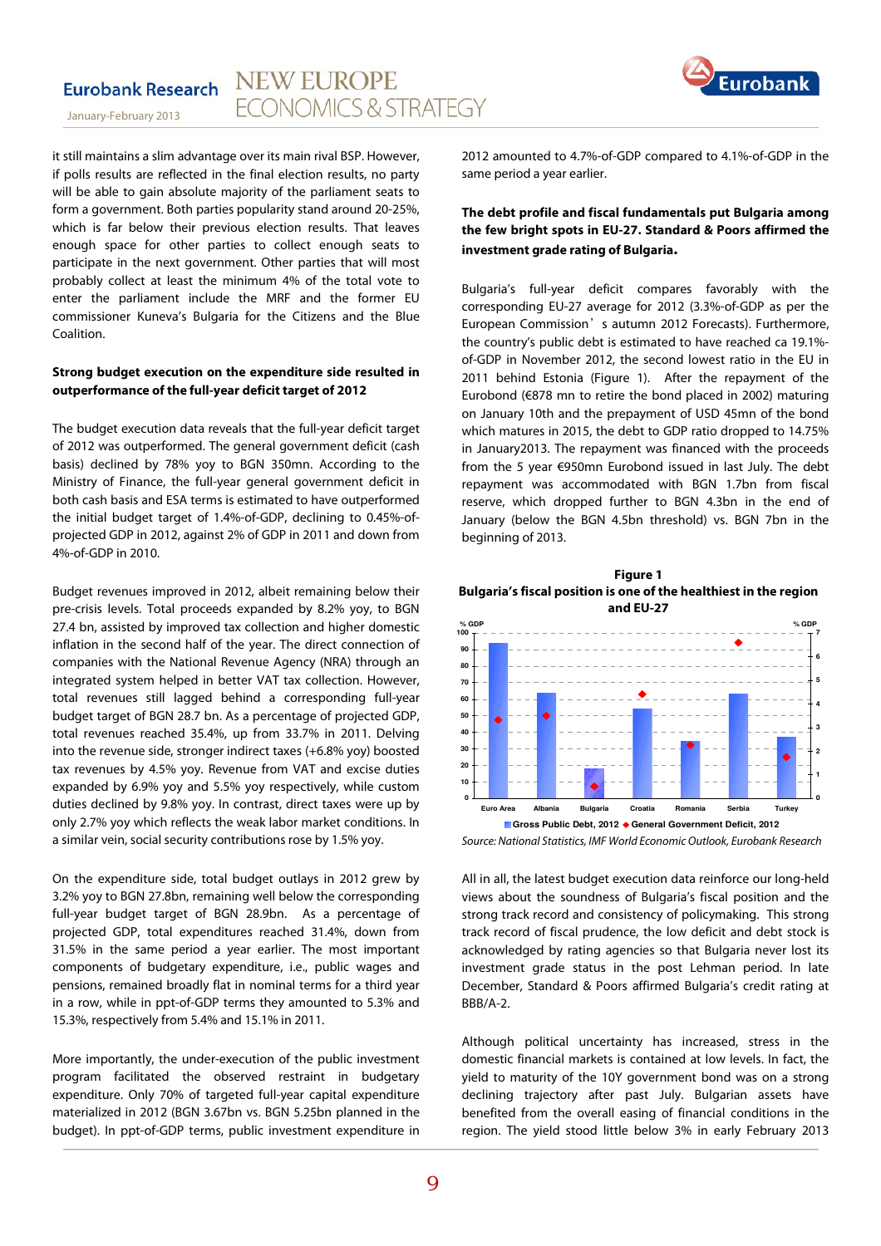



it still maintains a slim advantage over its main rival BSP. However, if polls results are reflected in the final election results, no party will be able to gain absolute majority of the parliament seats to form a government. Both parties popularity stand around 20-25%, which is far below their previous election results. That leaves enough space for other parties to collect enough seats to participate in the next government. Other parties that will most probably collect at least the minimum 4% of the total vote to enter the parliament include the MRF and the former EU commissioner Kuneva's Bulgaria for the Citizens and the Blue Coalition.

#### **Strong budget execution on the expenditure side resulted in outperformance of the full-year deficit target of 2012**

The budget execution data reveals that the full-year deficit target of 2012 was outperformed. The general government deficit (cash basis) declined by 78% yoy to BGN 350mn. According to the Ministry of Finance, the full-year general government deficit in both cash basis and ESA terms is estimated to have outperformed the initial budget target of 1.4%-of-GDP, declining to 0.45%-ofprojected GDP in 2012, against 2% of GDP in 2011 and down from 4%-of-GDP in 2010.

Budget revenues improved in 2012, albeit remaining below their pre-crisis levels. Total proceeds expanded by 8.2% yoy, to BGN 27.4 bn, assisted by improved tax collection and higher domestic inflation in the second half of the year. The direct connection of companies with the National Revenue Agency (NRA) through an integrated system helped in better VAT tax collection. However, total revenues still lagged behind a corresponding full-year budget target of BGN 28.7 bn. As a percentage of projected GDP, total revenues reached 35.4%, up from 33.7% in 2011. Delving into the revenue side, stronger indirect taxes (+6.8% yoy) boosted tax revenues by 4.5% yoy. Revenue from VAT and excise duties expanded by 6.9% yoy and 5.5% yoy respectively, while custom duties declined by 9.8% yoy. In contrast, direct taxes were up by only 2.7% yoy which reflects the weak labor market conditions. In a similar vein, social security contributions rose by 1.5% yoy.

On the expenditure side, total budget outlays in 2012 grew by 3.2% yoy to BGN 27.8bn, remaining well below the corresponding full-year budget target of BGN 28.9bn. As a percentage of projected GDP, total expenditures reached 31.4%, down from 31.5% in the same period a year earlier. The most important components of budgetary expenditure, i.e., public wages and pensions, remained broadly flat in nominal terms for a third year in a row, while in ppt-of-GDP terms they amounted to 5.3% and 15.3%, respectively from 5.4% and 15.1% in 2011.

More importantly, the under-execution of the public investment program facilitated the observed restraint in budgetary expenditure. Only 70% of targeted full-year capital expenditure materialized in 2012 (BGN 3.67bn vs. BGN 5.25bn planned in the budget). In ppt-of-GDP terms, public investment expenditure in 2012 amounted to 4.7%-of-GDP compared to 4.1%-of-GDP in the same period a year earlier.

### **The debt profile and fiscal fundamentals put Bulgaria among the few bright spots in EU-27. Standard & Poors affirmed the investment grade rating of Bulgaria.**

Bulgaria's full-year deficit compares favorably with the corresponding EU-27 average for 2012 (3.3%-of-GDP as per the European Commission's autumn 2012 Forecasts). Furthermore, the country's public debt is estimated to have reached ca 19.1% of-GDP in November 2012, the second lowest ratio in the EU in 2011 behind Estonia (Figure 1). After the repayment of the Eurobond (€878 mn to retire the bond placed in 2002) maturing on January 10th and the prepayment of USD 45mn of the bond which matures in 2015, the debt to GDP ratio dropped to 14.75% in January2013. The repayment was financed with the proceeds from the 5 year €950mn Eurobond issued in last July. The debt repayment was accommodated with BGN 1.7bn from fiscal reserve, which dropped further to BGN 4.3bn in the end of January (below the BGN 4.5bn threshold) vs. BGN 7bn in the beginning of 2013.





Source: National Statistics, IMF World Economic Outlook, Eurobank Research

All in all, the latest budget execution data reinforce our long-held views about the soundness of Bulgaria's fiscal position and the strong track record and consistency of policymaking. This strong track record of fiscal prudence, the low deficit and debt stock is acknowledged by rating agencies so that Bulgaria never lost its investment grade status in the post Lehman period. In late December, Standard & Poors affirmed Bulgaria's credit rating at BBB/A-2.

Although political uncertainty has increased, stress in the domestic financial markets is contained at low levels. In fact, the yield to maturity of the 10Y government bond was on a strong declining trajectory after past July. Bulgarian assets have benefited from the overall easing of financial conditions in the region. The yield stood little below 3% in early February 2013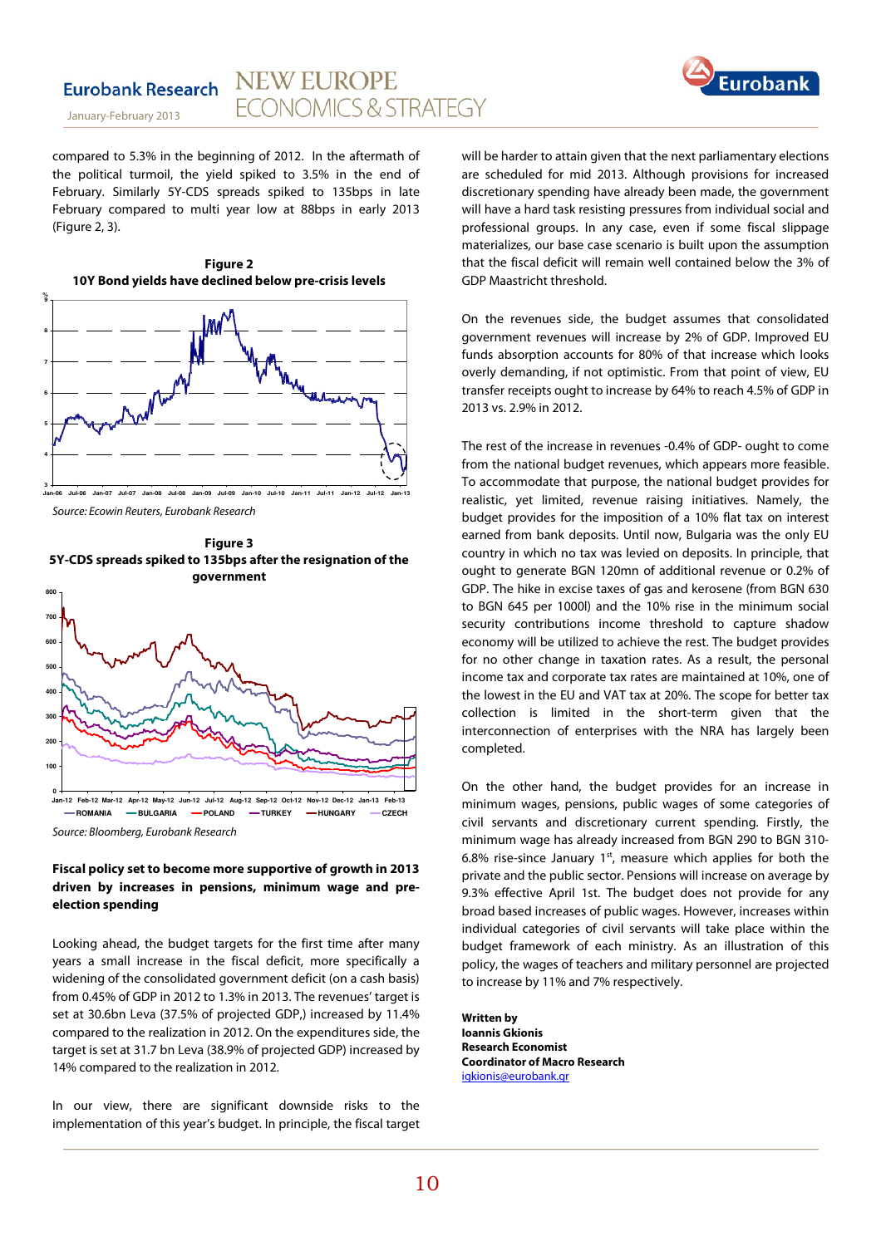

January-February 2013

compared to 5.3% in the beginning of 2012. In the aftermath of the political turmoil, the yield spiked to 3.5% in the end of February. Similarly 5Y-CDS spreads spiked to 135bps in late February compared to multi year low at 88bps in early 2013 (Figure 2, 3).

**Figure 2** 



**Jan-06 Jul-06 Jan-07 Jul-07 Jan-08 Jul-08 Jan-09 Jul-09 Jan-10 Jul-10 Jan-11 Jul-11 Jan-12 Jul-12 Jan-13** Source: Ecowin Reuters, Eurobank Research





#### **Fiscal policy set to become more supportive of growth in 2013 driven by increases in pensions, minimum wage and preelection spending**

Looking ahead, the budget targets for the first time after many years a small increase in the fiscal deficit, more specifically a widening of the consolidated government deficit (on a cash basis) from 0.45% of GDP in 2012 to 1.3% in 2013. The revenues' target is set at 30.6bn Leva (37.5% of projected GDP,) increased by 11.4% compared to the realization in 2012. On the expenditures side, the target is set at 31.7 bn Leva (38.9% of projected GDP) increased by 14% compared to the realization in 2012.

In our view, there are significant downside risks to the implementation of this year's budget. In principle, the fiscal target will be harder to attain given that the next parliamentary elections are scheduled for mid 2013. Although provisions for increased discretionary spending have already been made, the government will have a hard task resisting pressures from individual social and professional groups. In any case, even if some fiscal slippage materializes, our base case scenario is built upon the assumption that the fiscal deficit will remain well contained below the 3% of GDP Maastricht threshold.

On the revenues side, the budget assumes that consolidated government revenues will increase by 2% of GDP. Improved EU funds absorption accounts for 80% of that increase which looks overly demanding, if not optimistic. From that point of view, EU transfer receipts ought to increase by 64% to reach 4.5% of GDP in 2013 vs. 2.9% in 2012.

The rest of the increase in revenues -0.4% of GDP- ought to come from the national budget revenues, which appears more feasible. To accommodate that purpose, the national budget provides for realistic, yet limited, revenue raising initiatives. Namely, the budget provides for the imposition of a 10% flat tax on interest earned from bank deposits. Until now, Bulgaria was the only EU country in which no tax was levied on deposits. In principle, that ought to generate BGN 120mn of additional revenue or 0.2% of GDP. The hike in excise taxes of gas and kerosene (from BGN 630 to BGN 645 per 1000l) and the 10% rise in the minimum social security contributions income threshold to capture shadow economy will be utilized to achieve the rest. The budget provides for no other change in taxation rates. As a result, the personal income tax and corporate tax rates are maintained at 10%, one of the lowest in the EU and VAT tax at 20%. The scope for better tax collection is limited in the short-term given that the interconnection of enterprises with the NRA has largely been completed.

On the other hand, the budget provides for an increase in minimum wages, pensions, public wages of some categories of civil servants and discretionary current spending. Firstly, the minimum wage has already increased from BGN 290 to BGN 310- 6.8% rise-since January  $1<sup>st</sup>$ , measure which applies for both the private and the public sector. Pensions will increase on average by 9.3% effective April 1st. The budget does not provide for any broad based increases of public wages. However, increases within individual categories of civil servants will take place within the budget framework of each ministry. As an illustration of this policy, the wages of teachers and military personnel are projected to increase by 11% and 7% respectively.

**Written by Ioannis Gkionis Research Economist Coordinator of Macro Research**  igkionis@eurobank.gr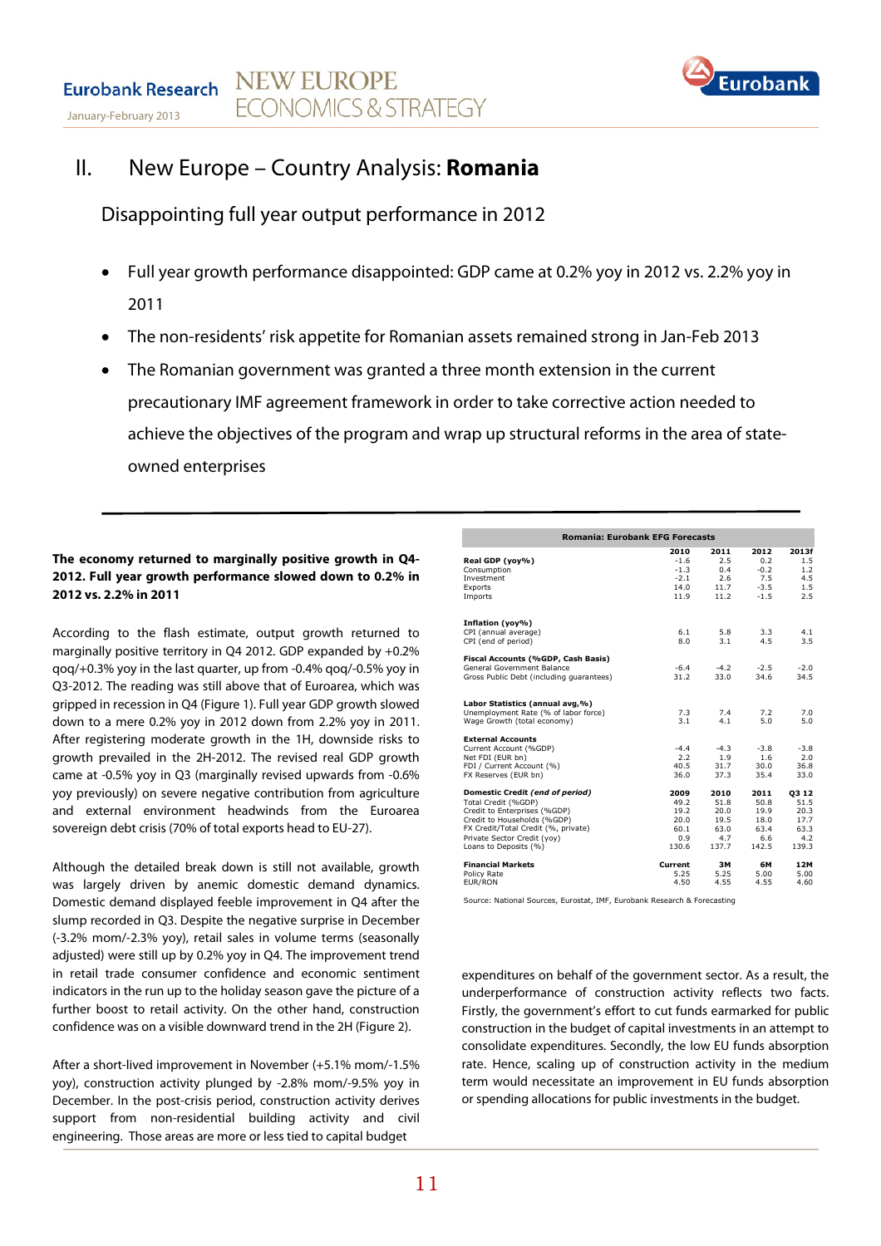

# II. New Europe – Country Analysis: **Romania**

Disappointing full year output performance in 2012

- Full year growth performance disappointed: GDP came at 0.2% yoy in 2012 vs. 2.2% yoy in 2011
- The non-residents' risk appetite for Romanian assets remained strong in Jan-Feb 2013
- The Romanian government was granted a three month extension in the current precautionary IMF agreement framework in order to take corrective action needed to achieve the objectives of the program and wrap up structural reforms in the area of stateowned enterprises

### **The economy returned to marginally positive growth in Q4- 2012. Full year growth performance slowed down to 0.2% in 2012 vs. 2.2% in 2011**

According to the flash estimate, output growth returned to marginally positive territory in Q4 2012. GDP expanded by +0.2% qoq/+0.3% yoy in the last quarter, up from -0.4% qoq/-0.5% yoy in Q3-2012. The reading was still above that of Euroarea, which was gripped in recession in Q4 (Figure 1). Full year GDP growth slowed down to a mere 0.2% yoy in 2012 down from 2.2% yoy in 2011. After registering moderate growth in the 1H, downside risks to growth prevailed in the 2H-2012. The revised real GDP growth came at -0.5% yoy in Q3 (marginally revised upwards from -0.6% yoy previously) on severe negative contribution from agriculture and external environment headwinds from the Euroarea sovereign debt crisis (70% of total exports head to EU-27).

Although the detailed break down is still not available, growth was largely driven by anemic domestic demand dynamics. Domestic demand displayed feeble improvement in Q4 after the slump recorded in Q3. Despite the negative surprise in December (-3.2% mom/-2.3% yoy), retail sales in volume terms (seasonally adjusted) were still up by 0.2% yoy in Q4. The improvement trend in retail trade consumer confidence and economic sentiment indicators in the run up to the holiday season gave the picture of a further boost to retail activity. On the other hand, construction confidence was on a visible downward trend in the 2H (Figure 2).

After a short-lived improvement in November (+5.1% mom/-1.5% yoy), construction activity plunged by -2.8% mom/-9.5% yoy in December. In the post-crisis period, construction activity derives support from non-residential building activity and civil engineering. Those areas are more or less tied to capital budget

| <b>Romania: Eurobank EFG Forecasts</b>   |         |        |        |        |  |  |  |
|------------------------------------------|---------|--------|--------|--------|--|--|--|
|                                          | 2010    | 2011   | 2012   | 2013f  |  |  |  |
| Real GDP (yoy%)                          | $-1.6$  | 2.5    | 0.2    | 1.5    |  |  |  |
| Consumption                              | $-1.3$  | 0.4    | $-0.2$ | 1.2    |  |  |  |
| Investment                               | $-2.1$  | 2.6    | 7.5    | 4.5    |  |  |  |
| Exports                                  | 14.0    | 11.7   | $-3.5$ | 1.5    |  |  |  |
| Imports                                  | 11.9    | 11.2   | $-1.5$ | 2.5    |  |  |  |
| Inflation (yoy%)                         |         |        |        |        |  |  |  |
| CPI (annual average)                     | 6.1     | 5.8    | 3.3    | 4.1    |  |  |  |
| CPI (end of period)                      | 8.0     | 3.1    | 4.5    | 3.5    |  |  |  |
| Fiscal Accounts (%GDP, Cash Basis)       |         |        |        |        |  |  |  |
| General Government Balance               | $-6.4$  | $-4.2$ | $-2.5$ | $-2.0$ |  |  |  |
| Gross Public Debt (including quarantees) | 31.2    | 33.0   | 34.6   | 34.5   |  |  |  |
| Labor Statistics (annual avg,%)          |         |        |        |        |  |  |  |
| Unemployment Rate (% of labor force)     | 7.3     | 7.4    | 7.2    | 7.0    |  |  |  |
| Wage Growth (total economy)              | 3.1     | 4.1    | 5.0    | 5.0    |  |  |  |
| <b>External Accounts</b>                 |         |        |        |        |  |  |  |
| Current Account (%GDP)                   | $-4.4$  | $-4.3$ | $-3.8$ | $-3.8$ |  |  |  |
| Net FDI (EUR bn)                         | 2.2     | 1.9    | 1.6    | 2.0    |  |  |  |
| FDI / Current Account (%)                | 40.5    | 31.7   | 30.0   | 36.8   |  |  |  |
| FX Reserves (EUR bn)                     | 36.0    | 37.3   | 35.4   | 33.0   |  |  |  |
| Domestic Credit (end of period)          | 2009    | 2010   | 2011   | 03 12  |  |  |  |
| Total Credit (%GDP)                      | 49.2    | 51.8   | 50.8   | 51.5   |  |  |  |
| Credit to Enterprises (%GDP)             | 19.2    | 20.0   | 19.9   | 20.3   |  |  |  |
| Credit to Households (%GDP)              | 20.0    | 19.5   | 18.0   | 17.7   |  |  |  |
| FX Credit/Total Credit (%, private)      | 60.1    | 63.0   | 63.4   | 63.3   |  |  |  |
| Private Sector Credit (yoy)              | 0.9     | 4.7    | 6.6    | 4.2    |  |  |  |
| Loans to Deposits (%)                    | 130.6   | 137.7  | 142.5  | 139.3  |  |  |  |
| <b>Financial Markets</b>                 | Current | ЗΜ     | 6М     | 12M    |  |  |  |
| Policy Rate                              | 5.25    | 5.25   | 5.00   | 5.00   |  |  |  |
| EUR/RON                                  | 4.50    | 4.55   | 4.55   | 4.60   |  |  |  |

Source: National Sources, Eurostat, IMF, Eurobank Research & Forecasting

expenditures on behalf of the government sector. As a result, the underperformance of construction activity reflects two facts. Firstly, the government's effort to cut funds earmarked for public construction in the budget of capital investments in an attempt to consolidate expenditures. Secondly, the low EU funds absorption rate. Hence, scaling up of construction activity in the medium term would necessitate an improvement in EU funds absorption or spending allocations for public investments in the budget.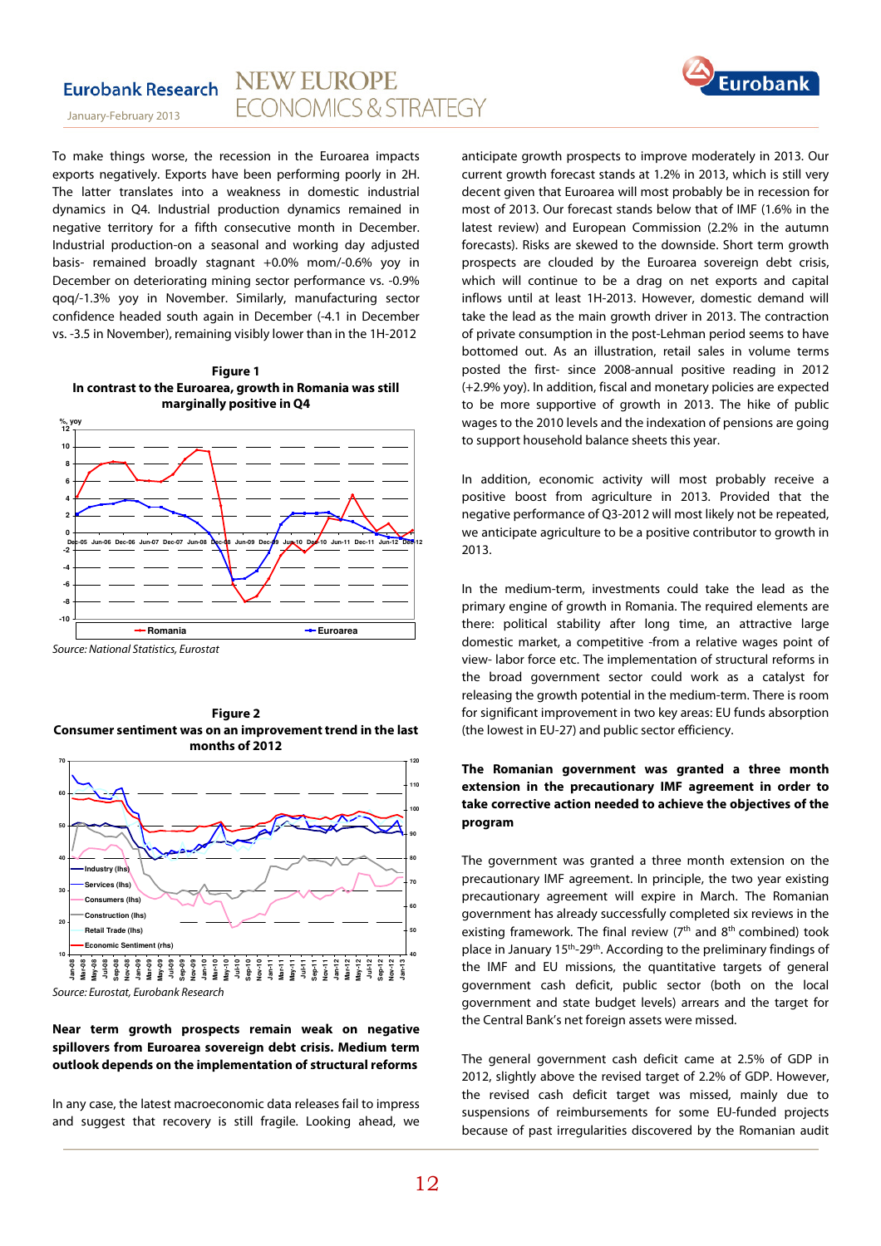

January-February 2013

To make things worse, the recession in the Euroarea impacts exports negatively. Exports have been performing poorly in 2H. The latter translates into a weakness in domestic industrial dynamics in Q4. Industrial production dynamics remained in negative territory for a fifth consecutive month in December. Industrial production-on a seasonal and working day adjusted basis- remained broadly stagnant +0.0% mom/-0.6% yoy in December on deteriorating mining sector performance vs. -0.9% qoq/-1.3% yoy in November. Similarly, manufacturing sector confidence headed south again in December (-4.1 in December vs. -3.5 in November), remaining visibly lower than in the 1H-2012





Source: National Statistics, Eurostat



Source: Eurostat, Eurobank Research

#### **Near term growth prospects remain weak on negative spillovers from Euroarea sovereign debt crisis. Medium term outlook depends on the implementation of structural reforms**

In any case, the latest macroeconomic data releases fail to impress and suggest that recovery is still fragile. Looking ahead, we anticipate growth prospects to improve moderately in 2013. Our current growth forecast stands at 1.2% in 2013, which is still very decent given that Euroarea will most probably be in recession for most of 2013. Our forecast stands below that of IMF (1.6% in the latest review) and European Commission (2.2% in the autumn forecasts). Risks are skewed to the downside. Short term growth prospects are clouded by the Euroarea sovereign debt crisis, which will continue to be a drag on net exports and capital inflows until at least 1H-2013. However, domestic demand will take the lead as the main growth driver in 2013. The contraction of private consumption in the post-Lehman period seems to have bottomed out. As an illustration, retail sales in volume terms posted the first- since 2008-annual positive reading in 2012 (+2.9% yoy). In addition, fiscal and monetary policies are expected to be more supportive of growth in 2013. The hike of public wages to the 2010 levels and the indexation of pensions are going to support household balance sheets this year.

In addition, economic activity will most probably receive a positive boost from agriculture in 2013. Provided that the negative performance of Q3-2012 will most likely not be repeated, we anticipate agriculture to be a positive contributor to growth in 2013.

In the medium-term, investments could take the lead as the primary engine of growth in Romania. The required elements are there: political stability after long time, an attractive large domestic market, a competitive -from a relative wages point of view- labor force etc. The implementation of structural reforms in the broad government sector could work as a catalyst for releasing the growth potential in the medium-term. There is room for significant improvement in two key areas: EU funds absorption (the lowest in EU-27) and public sector efficiency.

### **The Romanian government was granted a three month extension in the precautionary IMF agreement in order to take corrective action needed to achieve the objectives of the program**

The government was granted a three month extension on the precautionary IMF agreement. In principle, the two year existing precautionary agreement will expire in March. The Romanian government has already successfully completed six reviews in the existing framework. The final review  $(7<sup>th</sup>$  and  $8<sup>th</sup>$  combined) took place in January 15th-29th. According to the preliminary findings of the IMF and EU missions, the quantitative targets of general government cash deficit, public sector (both on the local government and state budget levels) arrears and the target for the Central Bank's net foreign assets were missed.

The general government cash deficit came at 2.5% of GDP in 2012, slightly above the revised target of 2.2% of GDP. However, the revised cash deficit target was missed, mainly due to suspensions of reimbursements for some EU-funded projects because of past irregularities discovered by the Romanian audit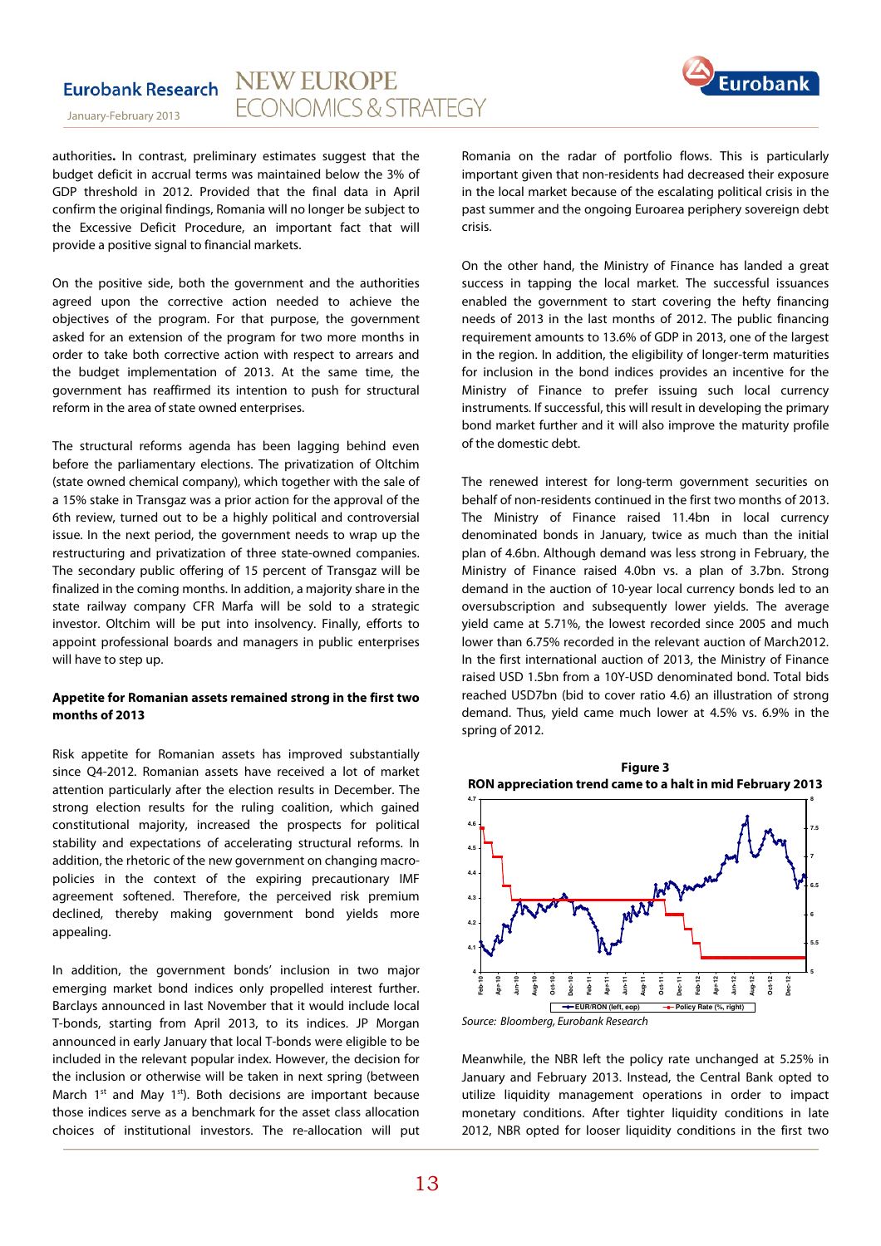

January-February 2013

authorities**.** In contrast, preliminary estimates suggest that the budget deficit in accrual terms was maintained below the 3% of GDP threshold in 2012. Provided that the final data in April confirm the original findings, Romania will no longer be subject to the Excessive Deficit Procedure, an important fact that will provide a positive signal to financial markets.

On the positive side, both the government and the authorities agreed upon the corrective action needed to achieve the objectives of the program. For that purpose, the government asked for an extension of the program for two more months in order to take both corrective action with respect to arrears and the budget implementation of 2013. At the same time, the government has reaffirmed its intention to push for structural reform in the area of state owned enterprises.

The structural reforms agenda has been lagging behind even before the parliamentary elections. The privatization of Oltchim (state owned chemical company), which together with the sale of a 15% stake in Transgaz was a prior action for the approval of the 6th review, turned out to be a highly political and controversial issue. In the next period, the government needs to wrap up the restructuring and privatization of three state-owned companies. The secondary public offering of 15 percent of Transgaz will be finalized in the coming months. In addition, a majority share in the state railway company CFR Marfa will be sold to a strategic investor. Oltchim will be put into insolvency. Finally, efforts to appoint professional boards and managers in public enterprises will have to step up.

#### **Appetite for Romanian assets remained strong in the first two months of 2013**

Risk appetite for Romanian assets has improved substantially since Q4-2012. Romanian assets have received a lot of market attention particularly after the election results in December. The strong election results for the ruling coalition, which gained constitutional majority, increased the prospects for political stability and expectations of accelerating structural reforms. In addition, the rhetoric of the new government on changing macropolicies in the context of the expiring precautionary IMF agreement softened. Therefore, the perceived risk premium declined, thereby making government bond yields more appealing.

In addition, the government bonds' inclusion in two major emerging market bond indices only propelled interest further. Barclays announced in last November that it would include local T-bonds, starting from April 2013, to its indices. JP Morgan announced in early January that local T-bonds were eligible to be included in the relevant popular index. However, the decision for the inclusion or otherwise will be taken in next spring (between March  $1^{st}$  and May  $1^{st}$ ). Both decisions are important because those indices serve as a benchmark for the asset class allocation choices of institutional investors. The re-allocation will put Romania on the radar of portfolio flows. This is particularly important given that non-residents had decreased their exposure in the local market because of the escalating political crisis in the past summer and the ongoing Euroarea periphery sovereign debt crisis.

On the other hand, the Ministry of Finance has landed a great success in tapping the local market. The successful issuances enabled the government to start covering the hefty financing needs of 2013 in the last months of 2012. The public financing requirement amounts to 13.6% of GDP in 2013, one of the largest in the region. In addition, the eligibility of longer-term maturities for inclusion in the bond indices provides an incentive for the Ministry of Finance to prefer issuing such local currency instruments. If successful, this will result in developing the primary bond market further and it will also improve the maturity profile of the domestic debt.

The renewed interest for long-term government securities on behalf of non-residents continued in the first two months of 2013. The Ministry of Finance raised 11.4bn in local currency denominated bonds in January, twice as much than the initial plan of 4.6bn. Although demand was less strong in February, the Ministry of Finance raised 4.0bn vs. a plan of 3.7bn. Strong demand in the auction of 10-year local currency bonds led to an oversubscription and subsequently lower yields. The average yield came at 5.71%, the lowest recorded since 2005 and much lower than 6.75% recorded in the relevant auction of March2012. In the first international auction of 2013, the Ministry of Finance raised USD 1.5bn from a 10Y-USD denominated bond. Total bids reached USD7bn (bid to cover ratio 4.6) an illustration of strong demand. Thus, yield came much lower at 4.5% vs. 6.9% in the spring of 2012.



Meanwhile, the NBR left the policy rate unchanged at 5.25% in January and February 2013. Instead, the Central Bank opted to utilize liquidity management operations in order to impact monetary conditions. After tighter liquidity conditions in late 2012, NBR opted for looser liquidity conditions in the first two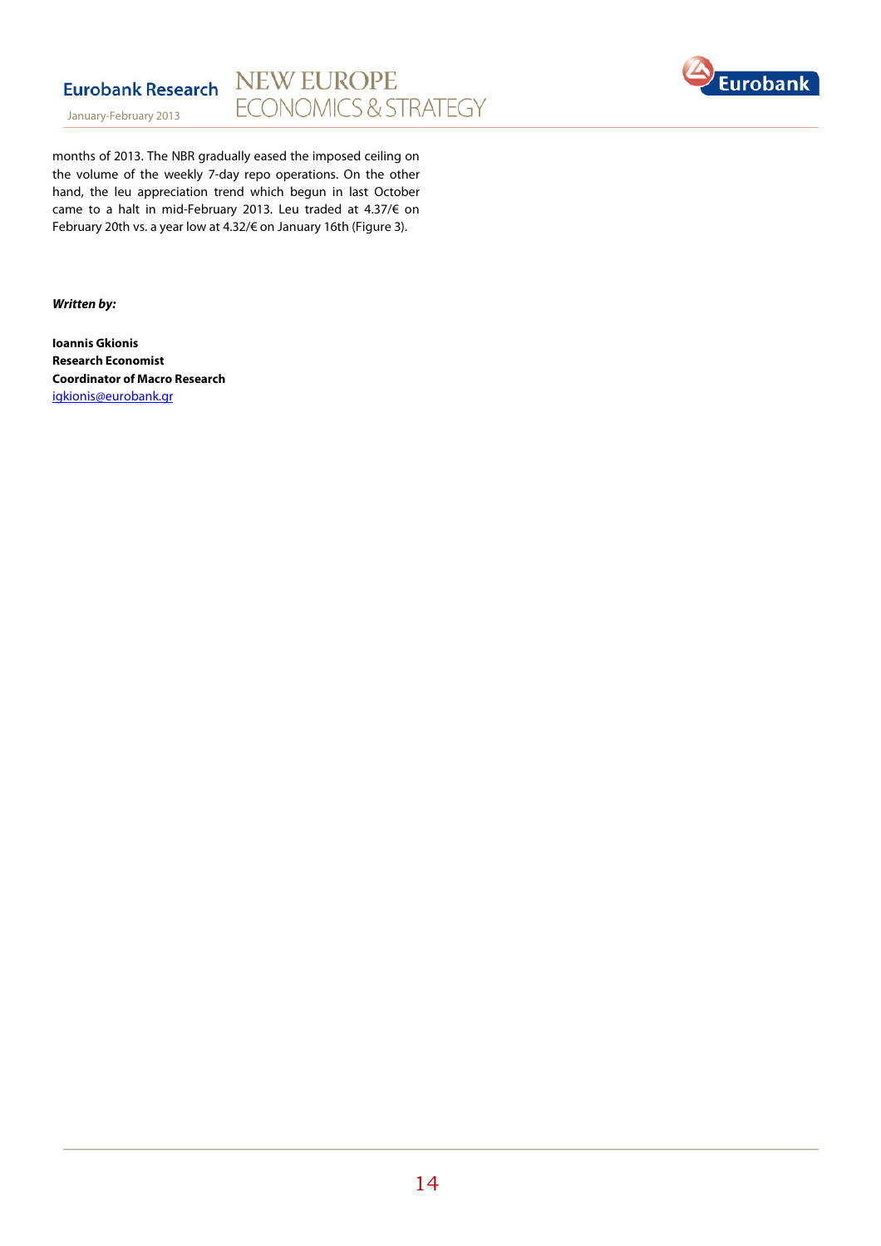



January-February 2013

months of 2013. The NBR gradually eased the imposed ceiling on the volume of the weekly 7-day repo operations. On the other hand, the leu appreciation trend which begun in last October came to a halt in mid-February 2013. Leu traded at 4.37/€ on February 20th vs. a year low at 4.32/€ on January 16th (Figure 3).

**Written by:** 

**Ioannis Gkionis Research Economist Coordinator of Macro Research**  igkionis@eurobank.gr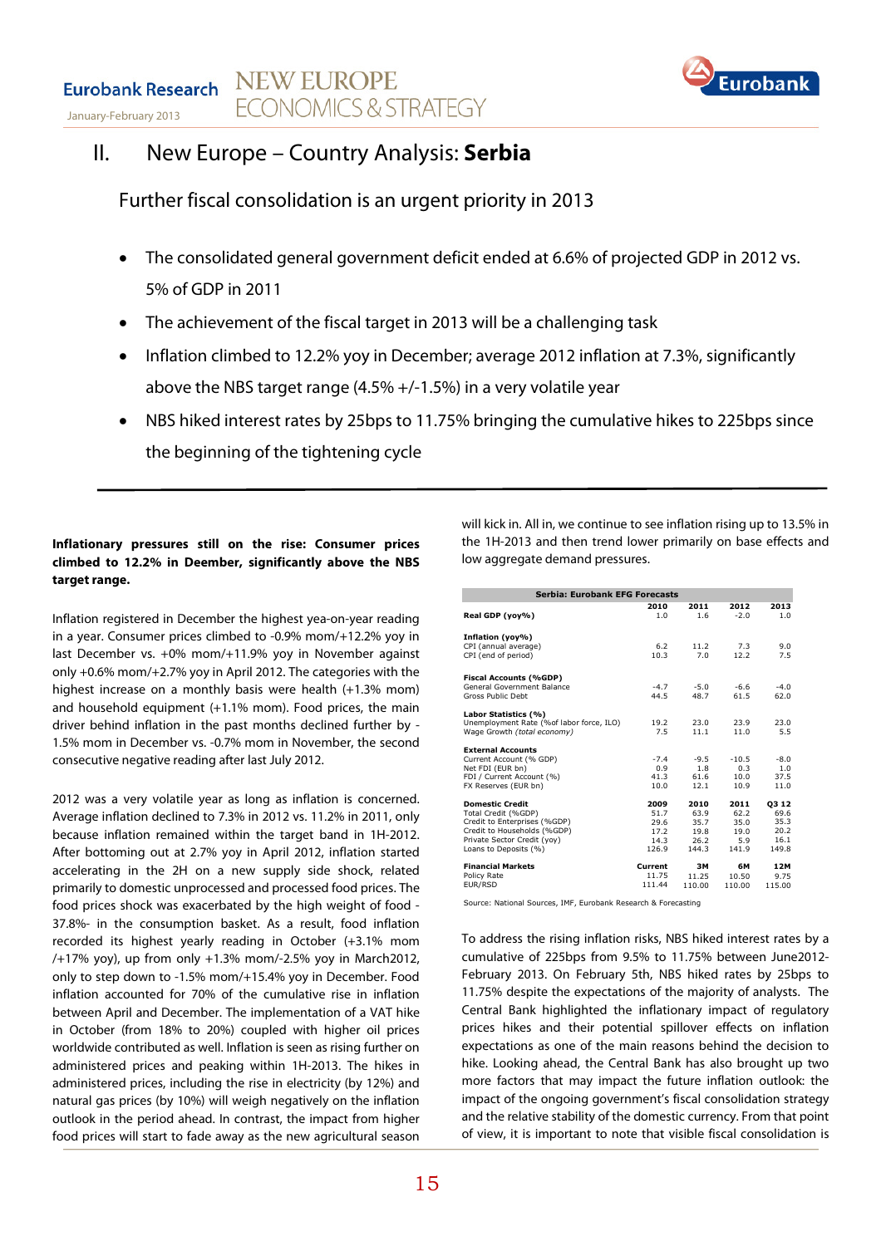**NEW EUROPE Eurobank Research FCONOMICS & STRATEGY** January-February 2013



# II. New Europe – Country Analysis: **Serbia**

Further fiscal consolidation is an urgent priority in 2013

- The consolidated general government deficit ended at 6.6% of projected GDP in 2012 vs. 5% of GDP in 2011
- The achievement of the fiscal target in 2013 will be a challenging task
- Inflation climbed to 12.2% yoy in December; average 2012 inflation at 7.3%, significantly above the NBS target range (4.5% +/-1.5%) in a very volatile year
- NBS hiked interest rates by 25bps to 11.75% bringing the cumulative hikes to 225bps since the beginning of the tightening cycle

### **Inflationary pressures still on the rise: Consumer prices climbed to 12.2% in Deember, significantly above the NBS target range.**

Inflation registered in December the highest yea-on-year reading in a year. Consumer prices climbed to -0.9% mom/+12.2% yoy in last December vs. +0% mom/+11.9% yoy in November against only +0.6% mom/+2.7% yoy in April 2012. The categories with the highest increase on a monthly basis were health (+1.3% mom) and household equipment (+1.1% mom). Food prices, the main driver behind inflation in the past months declined further by - 1.5% mom in December vs. -0.7% mom in November, the second consecutive negative reading after last July 2012.

2012 was a very volatile year as long as inflation is concerned. Average inflation declined to 7.3% in 2012 vs. 11.2% in 2011, only because inflation remained within the target band in 1H-2012. After bottoming out at 2.7% yoy in April 2012, inflation started accelerating in the 2H on a new supply side shock, related primarily to domestic unprocessed and processed food prices. The food prices shock was exacerbated by the high weight of food - 37.8%- in the consumption basket. As a result, food inflation recorded its highest yearly reading in October (+3.1% mom /+17% yoy), up from only +1.3% mom/-2.5% yoy in March2012, only to step down to -1.5% mom/+15.4% yoy in December. Food inflation accounted for 70% of the cumulative rise in inflation between April and December. The implementation of a VAT hike in October (from 18% to 20%) coupled with higher oil prices worldwide contributed as well. Inflation is seen as rising further on administered prices and peaking within 1H-2013. The hikes in administered prices, including the rise in electricity (by 12%) and natural gas prices (by 10%) will weigh negatively on the inflation outlook in the period ahead. In contrast, the impact from higher food prices will start to fade away as the new agricultural season

will kick in. All in, we continue to see inflation rising up to 13.5% in the 1H-2013 and then trend lower primarily on base effects and low aggregate demand pressures.

| <b>Serbia: Eurobank EFG Forecasts</b>    |         |        |         |        |  |  |  |  |
|------------------------------------------|---------|--------|---------|--------|--|--|--|--|
|                                          | 2010    | 2011   | 2012    | 2013   |  |  |  |  |
| Real GDP (yoy%)                          | 1.0     | 1.6    | $-2.0$  | 1.0    |  |  |  |  |
|                                          |         |        |         |        |  |  |  |  |
| Inflation (yoy%)<br>CPI (annual average) | 6.2     | 11.2   | 7.3     | 9.0    |  |  |  |  |
| CPI (end of period)                      | 10.3    | 7.0    | 12.2    | 7.5    |  |  |  |  |
|                                          |         |        |         |        |  |  |  |  |
| <b>Fiscal Accounts (%GDP)</b>            |         |        |         |        |  |  |  |  |
| General Government Balance               | $-4.7$  | $-5.0$ | $-6.6$  | $-4.0$ |  |  |  |  |
| <b>Gross Public Debt</b>                 | 44.5    | 48.7   | 61.5    | 62.0   |  |  |  |  |
| Labor Statistics (%)                     |         |        |         |        |  |  |  |  |
| Unemployment Rate (%of labor force, ILO) | 19.2    | 23.0   | 23.9    | 23.0   |  |  |  |  |
| Wage Growth (total economy)              | 7.5     | 11.1   | 11.0    | 5.5    |  |  |  |  |
| <b>External Accounts</b>                 |         |        |         |        |  |  |  |  |
| Current Account (% GDP)                  | $-7.4$  | $-9.5$ | $-10.5$ | $-8.0$ |  |  |  |  |
| Net FDI (EUR bn)                         | 0.9     | 1.8    | 0.3     | 1.0    |  |  |  |  |
| FDI / Current Account (%)                | 41.3    | 61.6   | 10.0    | 37.5   |  |  |  |  |
| FX Reserves (EUR bn)                     | 10.0    | 12.1   | 10.9    | 11.0   |  |  |  |  |
| <b>Domestic Credit</b>                   | 2009    | 2010   | 2011    | 03 12  |  |  |  |  |
| Total Credit (%GDP)                      | 51.7    | 63.9   | 62.2    | 69.6   |  |  |  |  |
| Credit to Enterprises (%GDP)             | 29.6    | 35.7   | 35.0    | 35.3   |  |  |  |  |
| Credit to Households (%GDP)              | 17.2    | 19.8   | 19.0    | 20.2   |  |  |  |  |
| Private Sector Credit (yoy)              | 14.3    | 26.2   | 5.9     | 16.1   |  |  |  |  |
| Loans to Deposits (%)                    | 126.9   | 144.3  | 141.9   | 149.8  |  |  |  |  |
| <b>Financial Markets</b>                 | Current | 3M     | 6M      | 12M    |  |  |  |  |
| Policy Rate                              | 11.75   | 11.25  | 10.50   | 9.75   |  |  |  |  |
| EUR/RSD                                  | 111.44  | 110.00 | 110.00  | 115.00 |  |  |  |  |

Source: National Sources, IMF, Eurobank Research & Forecasting

To address the rising inflation risks, NBS hiked interest rates by a cumulative of 225bps from 9.5% to 11.75% between June2012- February 2013. On February 5th, NBS hiked rates by 25bps to 11.75% despite the expectations of the majority of analysts. The Central Bank highlighted the inflationary impact of regulatory prices hikes and their potential spillover effects on inflation expectations as one of the main reasons behind the decision to hike. Looking ahead, the Central Bank has also brought up two more factors that may impact the future inflation outlook: the impact of the ongoing government's fiscal consolidation strategy and the relative stability of the domestic currency. From that point of view, it is important to note that visible fiscal consolidation is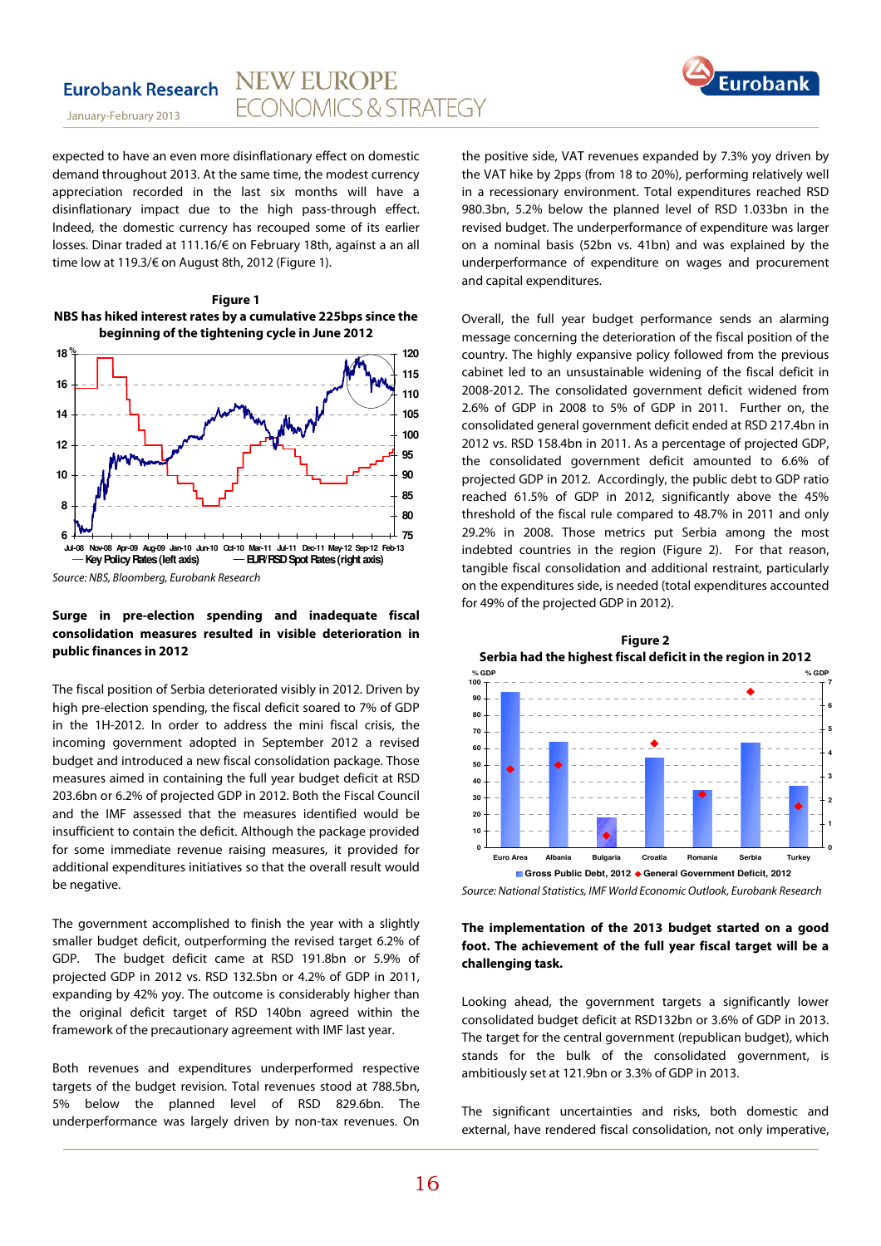

January-February 2013

expected to have an even more disinflationary effect on domestic demand throughout 2013. At the same time, the modest currency appreciation recorded in the last six months will have a disinflationary impact due to the high pass-through effect. Indeed, the domestic currency has recouped some of its earlier losses. Dinar traded at 111.16/€ on February 18th, against a an all time low at 119.3/€ on August 8th, 2012 (Figure 1).

**Figure 1 NBS has hiked interest rates by a cumulative 225bps since the beginning of the tightening cycle in June 2012** 



### **Surge in pre-election spending and inadequate fiscal consolidation measures resulted in visible deterioration in public finances in 2012**

The fiscal position of Serbia deteriorated visibly in 2012. Driven by high pre-election spending, the fiscal deficit soared to 7% of GDP in the 1H-2012. In order to address the mini fiscal crisis, the incoming government adopted in September 2012 a revised budget and introduced a new fiscal consolidation package. Those measures aimed in containing the full year budget deficit at RSD 203.6bn or 6.2% of projected GDP in 2012. Both the Fiscal Council and the IMF assessed that the measures identified would be insufficient to contain the deficit. Although the package provided for some immediate revenue raising measures, it provided for additional expenditures initiatives so that the overall result would be negative.

The government accomplished to finish the year with a slightly smaller budget deficit, outperforming the revised target 6.2% of GDP. The budget deficit came at RSD 191.8bn or 5.9% of projected GDP in 2012 vs. RSD 132.5bn or 4.2% of GDP in 2011, expanding by 42% yoy. The outcome is considerably higher than the original deficit target of RSD 140bn agreed within the framework of the precautionary agreement with IMF last year.

Both revenues and expenditures underperformed respective targets of the budget revision. Total revenues stood at 788.5bn, 5% below the planned level of RSD 829.6bn. The underperformance was largely driven by non-tax revenues. On

the positive side, VAT revenues expanded by 7.3% yoy driven by the VAT hike by 2pps (from 18 to 20%), performing relatively well in a recessionary environment. Total expenditures reached RSD 980.3bn, 5.2% below the planned level of RSD 1.033bn in the revised budget. The underperformance of expenditure was larger on a nominal basis (52bn vs. 41bn) and was explained by the underperformance of expenditure on wages and procurement and capital expenditures.

Overall, the full year budget performance sends an alarming message concerning the deterioration of the fiscal position of the country. The highly expansive policy followed from the previous cabinet led to an unsustainable widening of the fiscal deficit in 2008-2012. The consolidated government deficit widened from 2.6% of GDP in 2008 to 5% of GDP in 2011. Further on, the consolidated general government deficit ended at RSD 217.4bn in 2012 vs. RSD 158.4bn in 2011. As a percentage of projected GDP, the consolidated government deficit amounted to 6.6% of projected GDP in 2012. Accordingly, the public debt to GDP ratio reached 61.5% of GDP in 2012, significantly above the 45% threshold of the fiscal rule compared to 48.7% in 2011 and only 29.2% in 2008. Those metrics put Serbia among the most indebted countries in the region (Figure 2). For that reason, tangible fiscal consolidation and additional restraint, particularly on the expenditures side, is needed (total expenditures accounted for 49% of the projected GDP in 2012).



Source: National Statistics, IMF World Economic Outlook, Eurobank Research

### **The implementation of the 2013 budget started on a good foot. The achievement of the full year fiscal target will be a challenging task.**

Looking ahead, the government targets a significantly lower consolidated budget deficit at RSD132bn or 3.6% of GDP in 2013. The target for the central government (republican budget), which stands for the bulk of the consolidated government, is ambitiously set at 121.9bn or 3.3% of GDP in 2013.

The significant uncertainties and risks, both domestic and external, have rendered fiscal consolidation, not only imperative,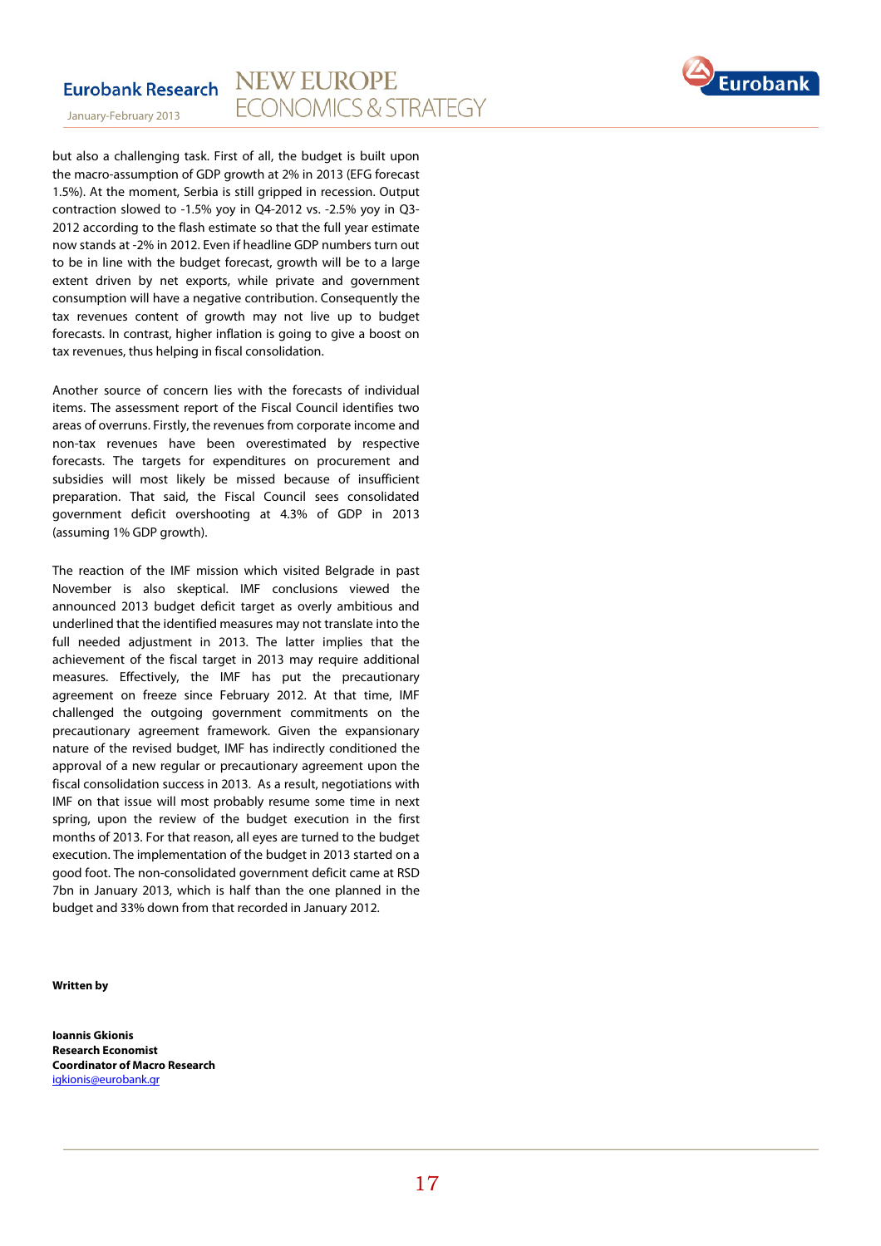



but also a challenging task. First of all, the budget is built upon the macro-assumption of GDP growth at 2% in 2013 (EFG forecast 1.5%). At the moment, Serbia is still gripped in recession. Output contraction slowed to -1.5% yoy in Q4-2012 vs. -2.5% yoy in Q3- 2012 according to the flash estimate so that the full year estimate now stands at -2% in 2012. Even if headline GDP numbers turn out to be in line with the budget forecast, growth will be to a large extent driven by net exports, while private and government consumption will have a negative contribution. Consequently the tax revenues content of growth may not live up to budget forecasts. In contrast, higher inflation is going to give a boost on tax revenues, thus helping in fiscal consolidation.

Another source of concern lies with the forecasts of individual items. The assessment report of the Fiscal Council identifies two areas of overruns. Firstly, the revenues from corporate income and non-tax revenues have been overestimated by respective forecasts. The targets for expenditures on procurement and subsidies will most likely be missed because of insufficient preparation. That said, the Fiscal Council sees consolidated government deficit overshooting at 4.3% of GDP in 2013 (assuming 1% GDP growth).

The reaction of the IMF mission which visited Belgrade in past November is also skeptical. IMF conclusions viewed the announced 2013 budget deficit target as overly ambitious and underlined that the identified measures may not translate into the full needed adjustment in 2013. The latter implies that the achievement of the fiscal target in 2013 may require additional measures. Effectively, the IMF has put the precautionary agreement on freeze since February 2012. At that time, IMF challenged the outgoing government commitments on the precautionary agreement framework. Given the expansionary nature of the revised budget, IMF has indirectly conditioned the approval of a new regular or precautionary agreement upon the fiscal consolidation success in 2013. As a result, negotiations with IMF on that issue will most probably resume some time in next spring, upon the review of the budget execution in the first months of 2013. For that reason, all eyes are turned to the budget execution. The implementation of the budget in 2013 started on a good foot. The non-consolidated government deficit came at RSD 7bn in January 2013, which is half than the one planned in the budget and 33% down from that recorded in January 2012.

#### **Written by**

**Ioannis Gkionis Research Economist Coordinator of Macro Research**  igkionis@eurobank.gr